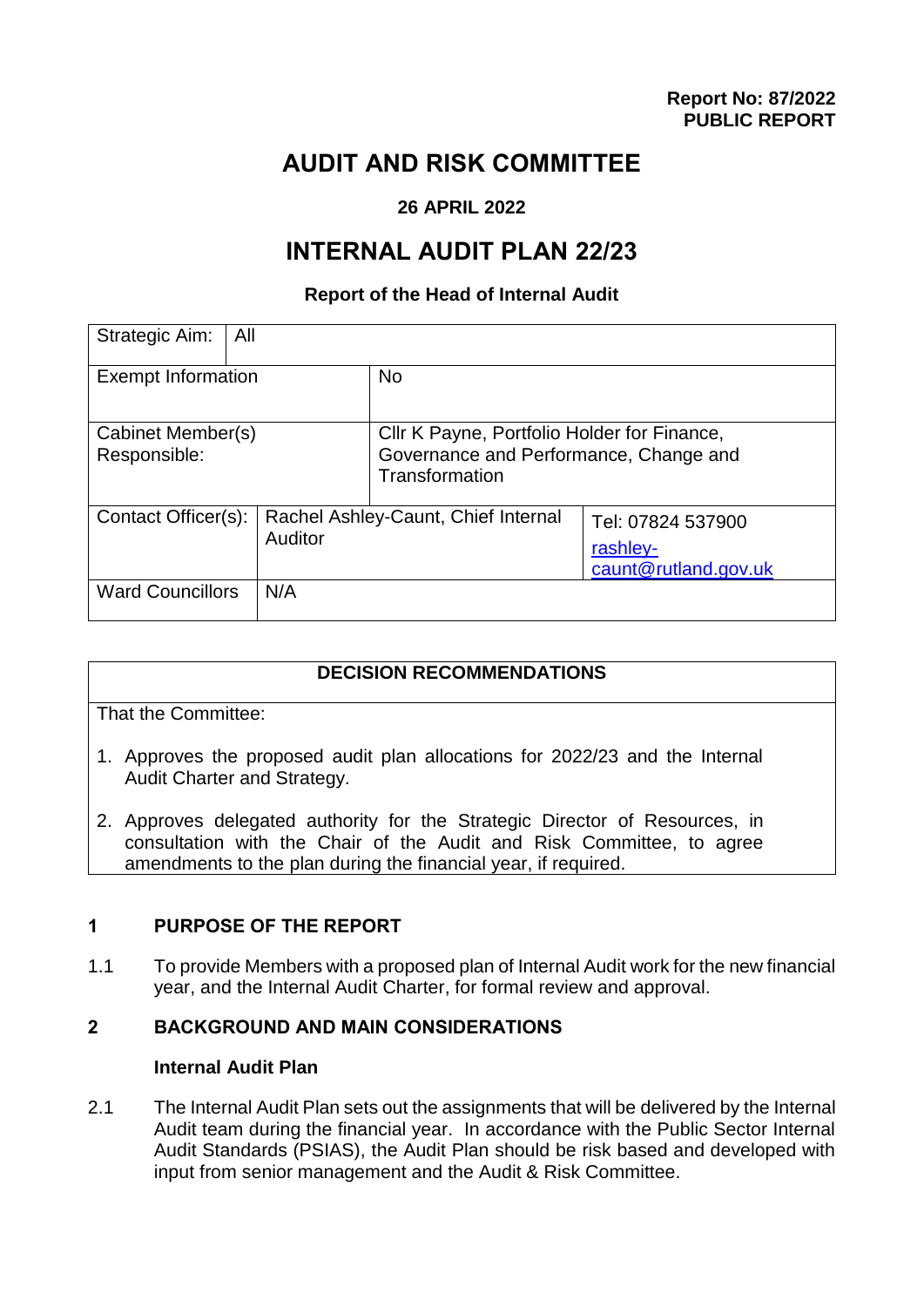# **AUDIT AND RISK COMMITTEE**

# **26 APRIL 2022**

# **INTERNAL AUDIT PLAN 22/23**

## **Report of the Head of Internal Audit**

| Strategic Aim:<br>All             |                                                |                                                                                                         |                                                       |
|-----------------------------------|------------------------------------------------|---------------------------------------------------------------------------------------------------------|-------------------------------------------------------|
| <b>Exempt Information</b>         |                                                | <b>No</b>                                                                                               |                                                       |
| Cabinet Member(s)<br>Responsible: |                                                | Cllr K Payne, Portfolio Holder for Finance,<br>Governance and Performance, Change and<br>Transformation |                                                       |
| Contact Officer(s):               | Rachel Ashley-Caunt, Chief Internal<br>Auditor |                                                                                                         | Tel: 07824 537900<br>rashley-<br>caunt@rutland.gov.uk |
| <b>Ward Councillors</b>           | N/A                                            |                                                                                                         |                                                       |

# **DECISION RECOMMENDATIONS**

That the Committee:

- 1. Approves the proposed audit plan allocations for 2022/23 and the Internal Audit Charter and Strategy.
- 2. Approves delegated authority for the Strategic Director of Resources, in consultation with the Chair of the Audit and Risk Committee, to agree amendments to the plan during the financial year, if required.

# **1 PURPOSE OF THE REPORT**

1.1 To provide Members with a proposed plan of Internal Audit work for the new financial year, and the Internal Audit Charter, for formal review and approval.

# **2 BACKGROUND AND MAIN CONSIDERATIONS**

## **Internal Audit Plan**

2.1 The Internal Audit Plan sets out the assignments that will be delivered by the Internal Audit team during the financial year. In accordance with the Public Sector Internal Audit Standards (PSIAS), the Audit Plan should be risk based and developed with input from senior management and the Audit & Risk Committee.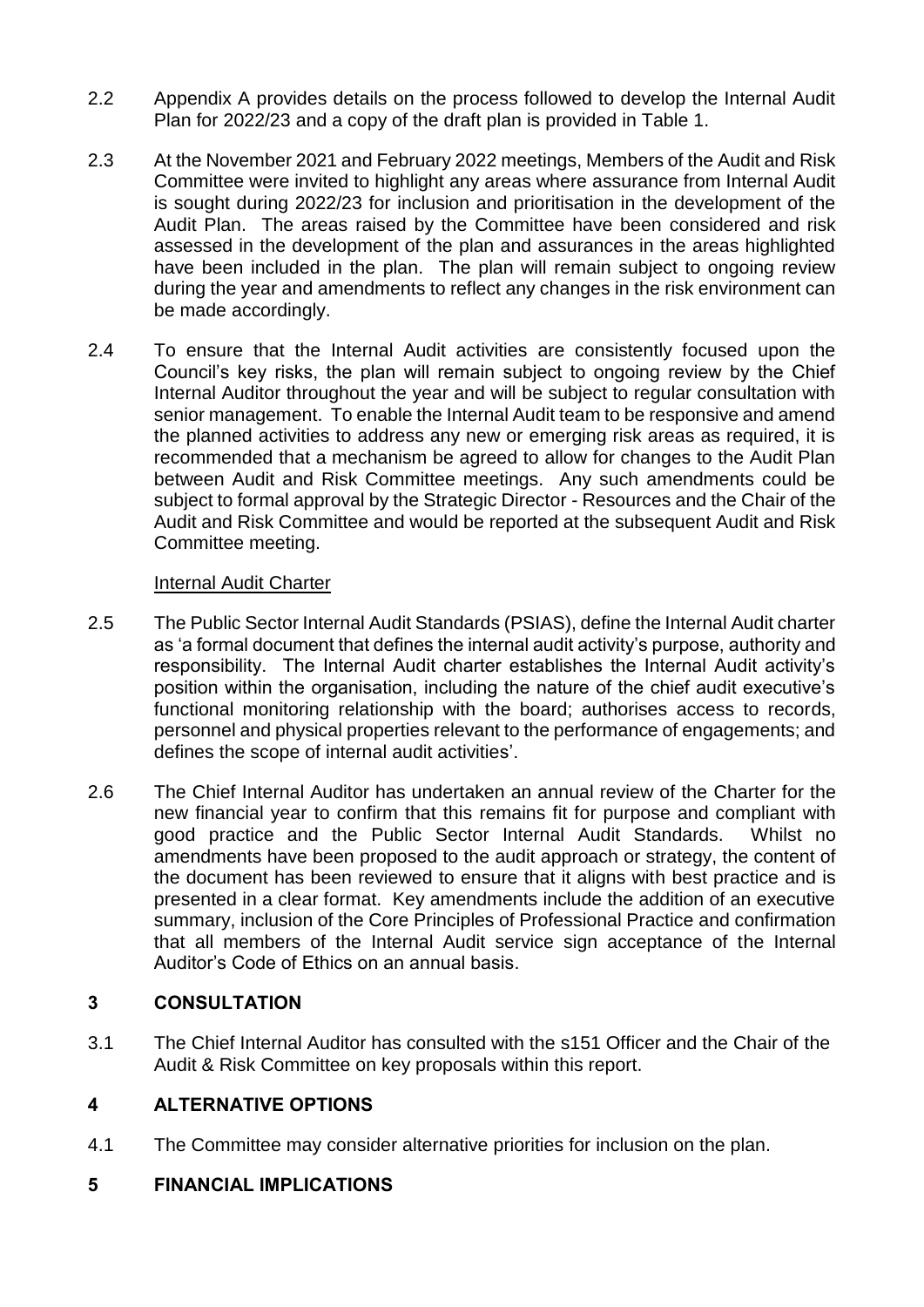- 2.2 Appendix A provides details on the process followed to develop the Internal Audit Plan for 2022/23 and a copy of the draft plan is provided in Table 1.
- 2.3 At the November 2021 and February 2022 meetings, Members of the Audit and Risk Committee were invited to highlight any areas where assurance from Internal Audit is sought during 2022/23 for inclusion and prioritisation in the development of the Audit Plan. The areas raised by the Committee have been considered and risk assessed in the development of the plan and assurances in the areas highlighted have been included in the plan. The plan will remain subject to ongoing review during the year and amendments to reflect any changes in the risk environment can be made accordingly.
- 2.4 To ensure that the Internal Audit activities are consistently focused upon the Council's key risks, the plan will remain subject to ongoing review by the Chief Internal Auditor throughout the year and will be subject to regular consultation with senior management. To enable the Internal Audit team to be responsive and amend the planned activities to address any new or emerging risk areas as required, it is recommended that a mechanism be agreed to allow for changes to the Audit Plan between Audit and Risk Committee meetings. Any such amendments could be subject to formal approval by the Strategic Director - Resources and the Chair of the Audit and Risk Committee and would be reported at the subsequent Audit and Risk Committee meeting.

## Internal Audit Charter

- 2.5 The Public Sector Internal Audit Standards (PSIAS), define the Internal Audit charter as 'a formal document that defines the internal audit activity's purpose, authority and responsibility. The Internal Audit charter establishes the Internal Audit activity's position within the organisation, including the nature of the chief audit executive's functional monitoring relationship with the board; authorises access to records, personnel and physical properties relevant to the performance of engagements; and defines the scope of internal audit activities'.
- 2.6 The Chief Internal Auditor has undertaken an annual review of the Charter for the new financial year to confirm that this remains fit for purpose and compliant with good practice and the Public Sector Internal Audit Standards. Whilst no amendments have been proposed to the audit approach or strategy, the content of the document has been reviewed to ensure that it aligns with best practice and is presented in a clear format. Key amendments include the addition of an executive summary, inclusion of the Core Principles of Professional Practice and confirmation that all members of the Internal Audit service sign acceptance of the Internal Auditor's Code of Ethics on an annual basis.

# **3 CONSULTATION**

3.1 The Chief Internal Auditor has consulted with the s151 Officer and the Chair of the Audit & Risk Committee on key proposals within this report.

# **4 ALTERNATIVE OPTIONS**

4.1 The Committee may consider alternative priorities for inclusion on the plan.

# **5 FINANCIAL IMPLICATIONS**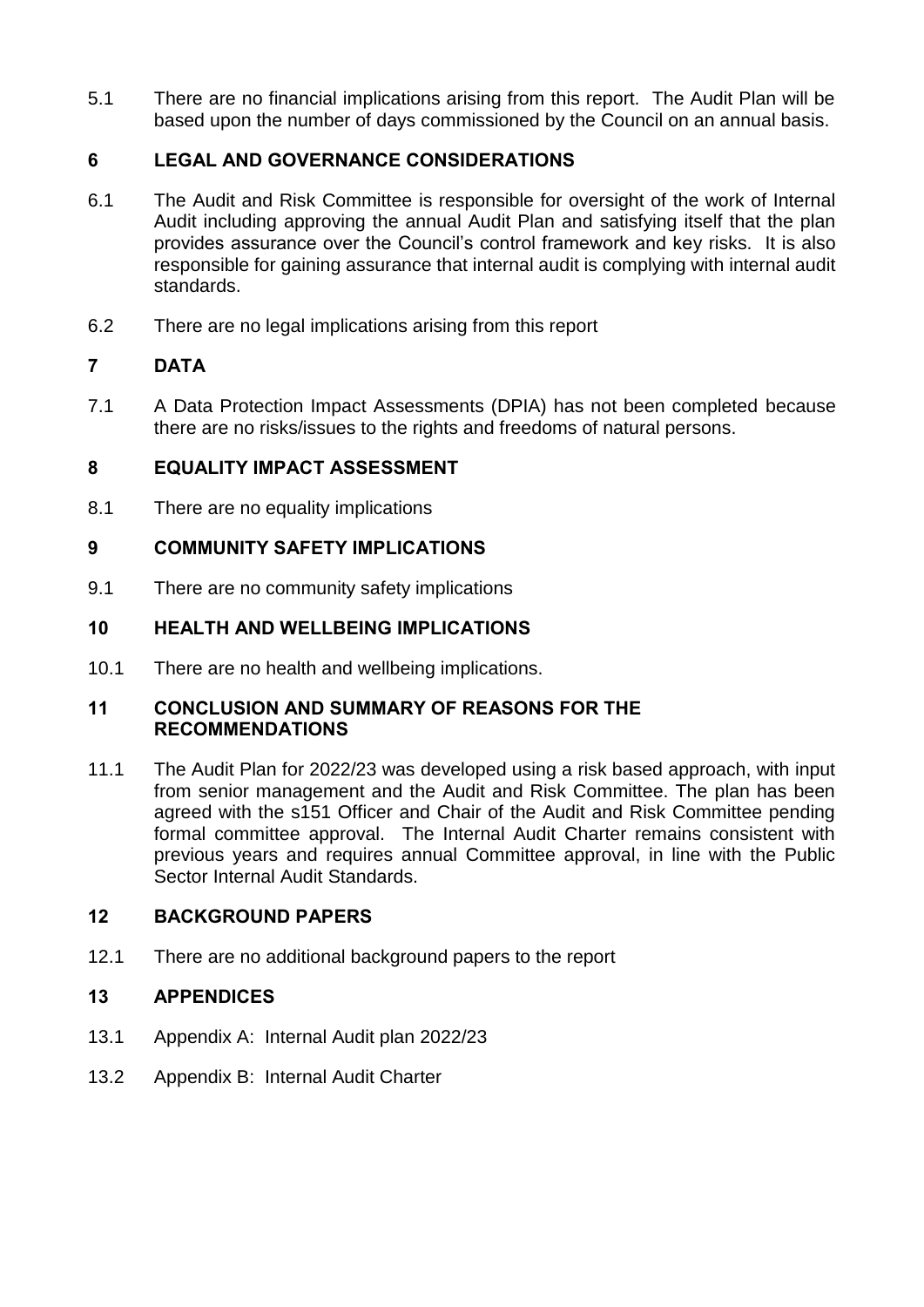5.1 There are no financial implications arising from this report. The Audit Plan will be based upon the number of days commissioned by the Council on an annual basis.

# **6 LEGAL AND GOVERNANCE CONSIDERATIONS**

- 6.1 The Audit and Risk Committee is responsible for oversight of the work of Internal Audit including approving the annual Audit Plan and satisfying itself that the plan provides assurance over the Council's control framework and key risks. It is also responsible for gaining assurance that internal audit is complying with internal audit standards.
- 6.2 There are no legal implications arising from this report

# **7 DATA**

7.1 A Data Protection Impact Assessments (DPIA) has not been completed because there are no risks/issues to the rights and freedoms of natural persons.

# **8 EQUALITY IMPACT ASSESSMENT**

8.1 There are no equality implications

# **9 COMMUNITY SAFETY IMPLICATIONS**

9.1 There are no community safety implications

# **10 HEALTH AND WELLBEING IMPLICATIONS**

10.1 There are no health and wellbeing implications.

## **11 CONCLUSION AND SUMMARY OF REASONS FOR THE RECOMMENDATIONS**

11.1 The Audit Plan for 2022/23 was developed using a risk based approach, with input from senior management and the Audit and Risk Committee. The plan has been agreed with the s151 Officer and Chair of the Audit and Risk Committee pending formal committee approval. The Internal Audit Charter remains consistent with previous years and requires annual Committee approval, in line with the Public Sector Internal Audit Standards.

# **12 BACKGROUND PAPERS**

12.1 There are no additional background papers to the report

# **13 APPENDICES**

- 13.1 Appendix A: Internal Audit plan 2022/23
- 13.2 Appendix B: Internal Audit Charter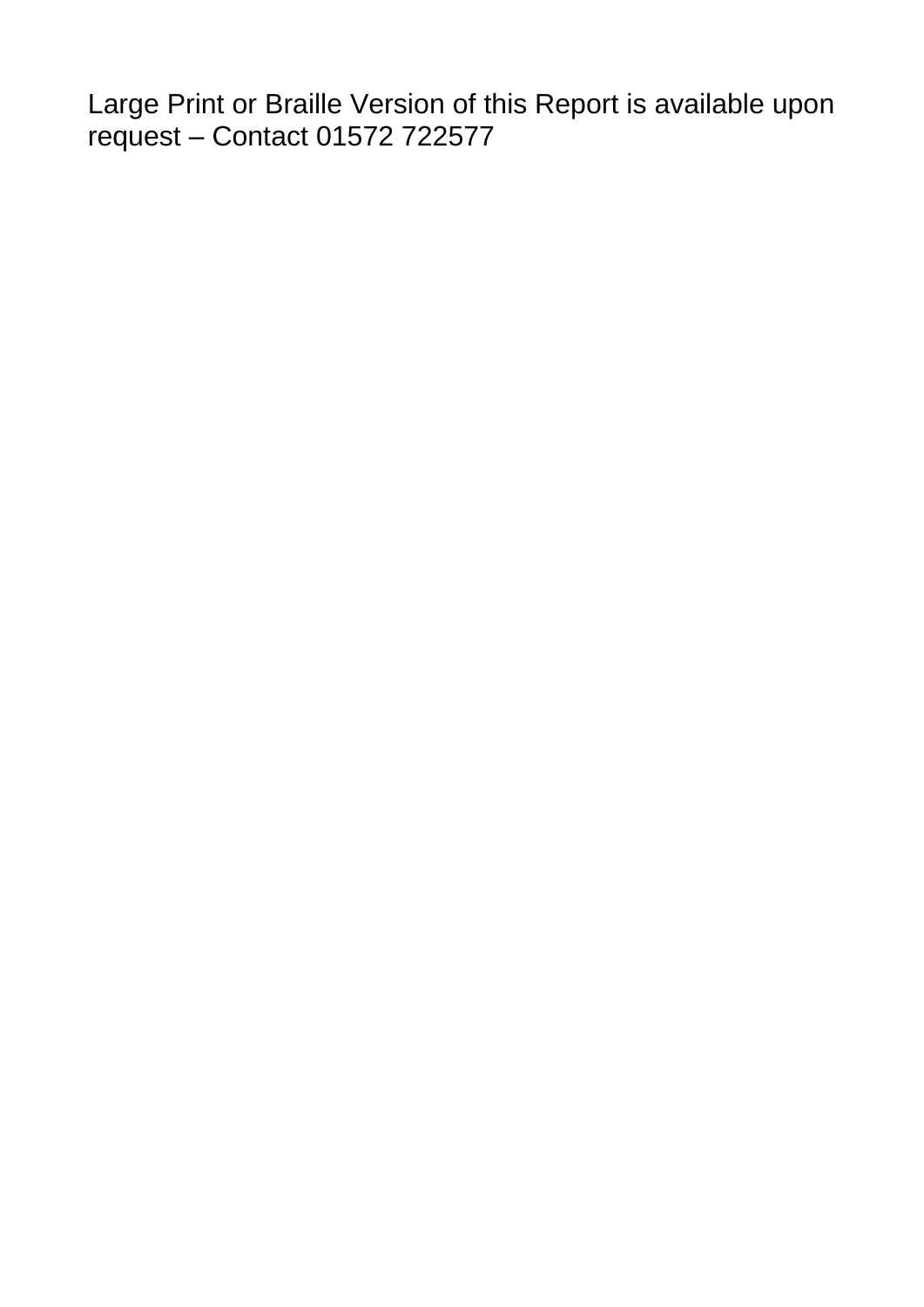Large Print or Braille Version of this Report is available upon request – Contact 01572 722577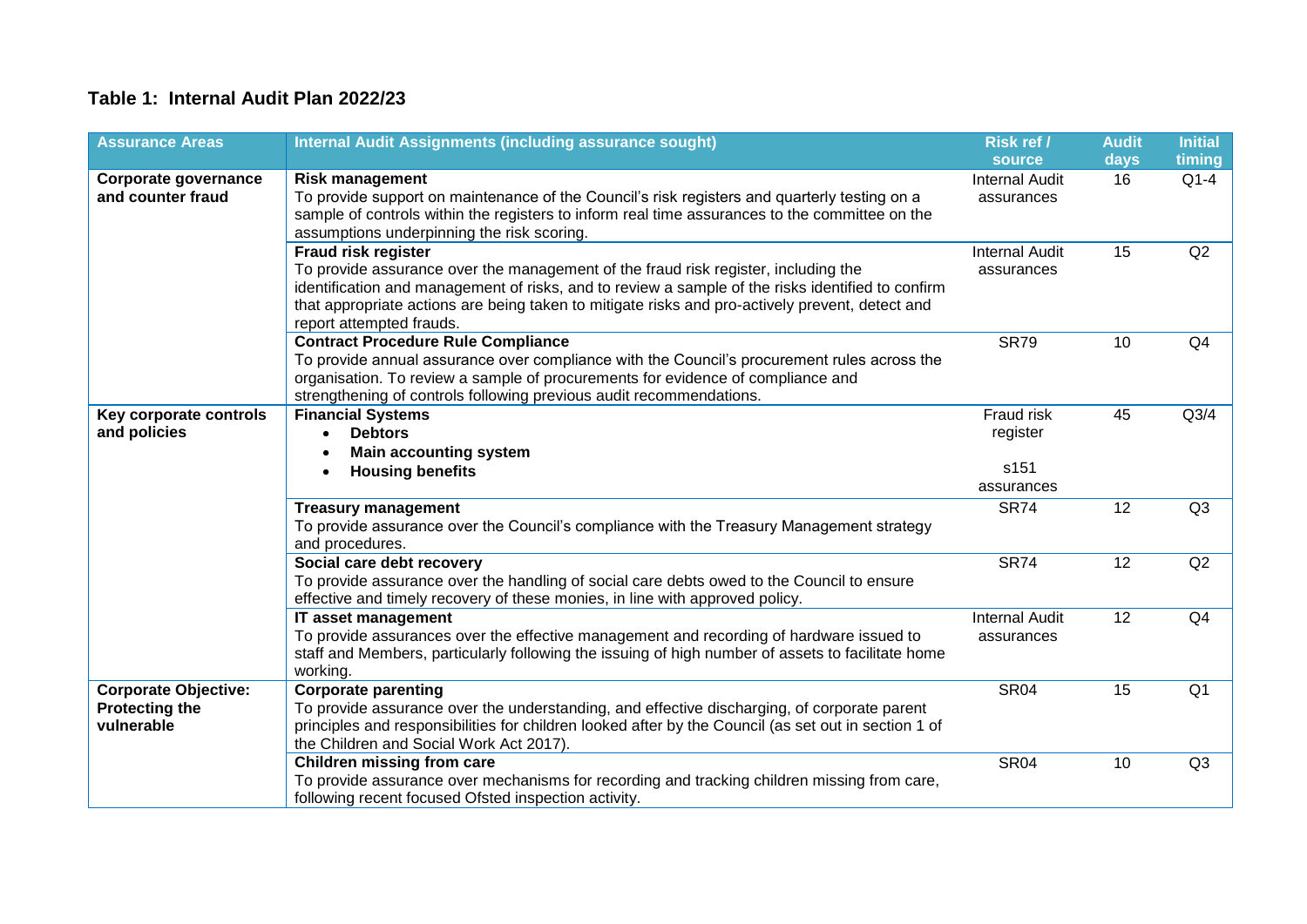# **Table 1: Internal Audit Plan 2022/23**

| <b>Assurance Areas</b>                                             | <b>Internal Audit Assignments (including assurance sought)</b>                                                                                                                                                                                                                                                                                       | Risk ref /                                   | <b>Audit</b> | <b>Initial</b> |
|--------------------------------------------------------------------|------------------------------------------------------------------------------------------------------------------------------------------------------------------------------------------------------------------------------------------------------------------------------------------------------------------------------------------------------|----------------------------------------------|--------------|----------------|
|                                                                    |                                                                                                                                                                                                                                                                                                                                                      | source                                       | days         | timing         |
| Corporate governance<br>and counter fraud                          | <b>Risk management</b><br>To provide support on maintenance of the Council's risk registers and quarterly testing on a<br>sample of controls within the registers to inform real time assurances to the committee on the<br>assumptions underpinning the risk scoring.                                                                               | <b>Internal Audit</b><br>assurances          | 16           | $Q1-4$         |
|                                                                    | <b>Fraud risk register</b><br>To provide assurance over the management of the fraud risk register, including the<br>identification and management of risks, and to review a sample of the risks identified to confirm<br>that appropriate actions are being taken to mitigate risks and pro-actively prevent, detect and<br>report attempted frauds. | <b>Internal Audit</b><br>assurances          | 15           | Q2             |
|                                                                    | <b>Contract Procedure Rule Compliance</b><br>To provide annual assurance over compliance with the Council's procurement rules across the<br>organisation. To review a sample of procurements for evidence of compliance and<br>strengthening of controls following previous audit recommendations.                                                   | <b>SR79</b>                                  | 10           | Q4             |
| Key corporate controls<br>and policies                             | <b>Financial Systems</b><br><b>Debtors</b><br>$\bullet$<br><b>Main accounting system</b><br>$\bullet$<br><b>Housing benefits</b>                                                                                                                                                                                                                     | Fraud risk<br>register<br>s151<br>assurances | 45           | Q3/4           |
|                                                                    | <b>Treasury management</b><br>To provide assurance over the Council's compliance with the Treasury Management strategy<br>and procedures.                                                                                                                                                                                                            | <b>SR74</b>                                  | 12           | Q <sub>3</sub> |
|                                                                    | Social care debt recovery<br>To provide assurance over the handling of social care debts owed to the Council to ensure<br>effective and timely recovery of these monies, in line with approved policy.                                                                                                                                               | <b>SR74</b>                                  | 12           | Q2             |
|                                                                    | IT asset management<br>To provide assurances over the effective management and recording of hardware issued to<br>staff and Members, particularly following the issuing of high number of assets to facilitate home<br>working.                                                                                                                      | <b>Internal Audit</b><br>assurances          | 12           | Q <sub>4</sub> |
| <b>Corporate Objective:</b><br><b>Protecting the</b><br>vulnerable | <b>Corporate parenting</b><br>To provide assurance over the understanding, and effective discharging, of corporate parent<br>principles and responsibilities for children looked after by the Council (as set out in section 1 of<br>the Children and Social Work Act 2017).                                                                         | <b>SR04</b>                                  | 15           | Q <sub>1</sub> |
|                                                                    | <b>Children missing from care</b><br>To provide assurance over mechanisms for recording and tracking children missing from care,<br>following recent focused Ofsted inspection activity.                                                                                                                                                             | <b>SR04</b>                                  | 10           | Q3             |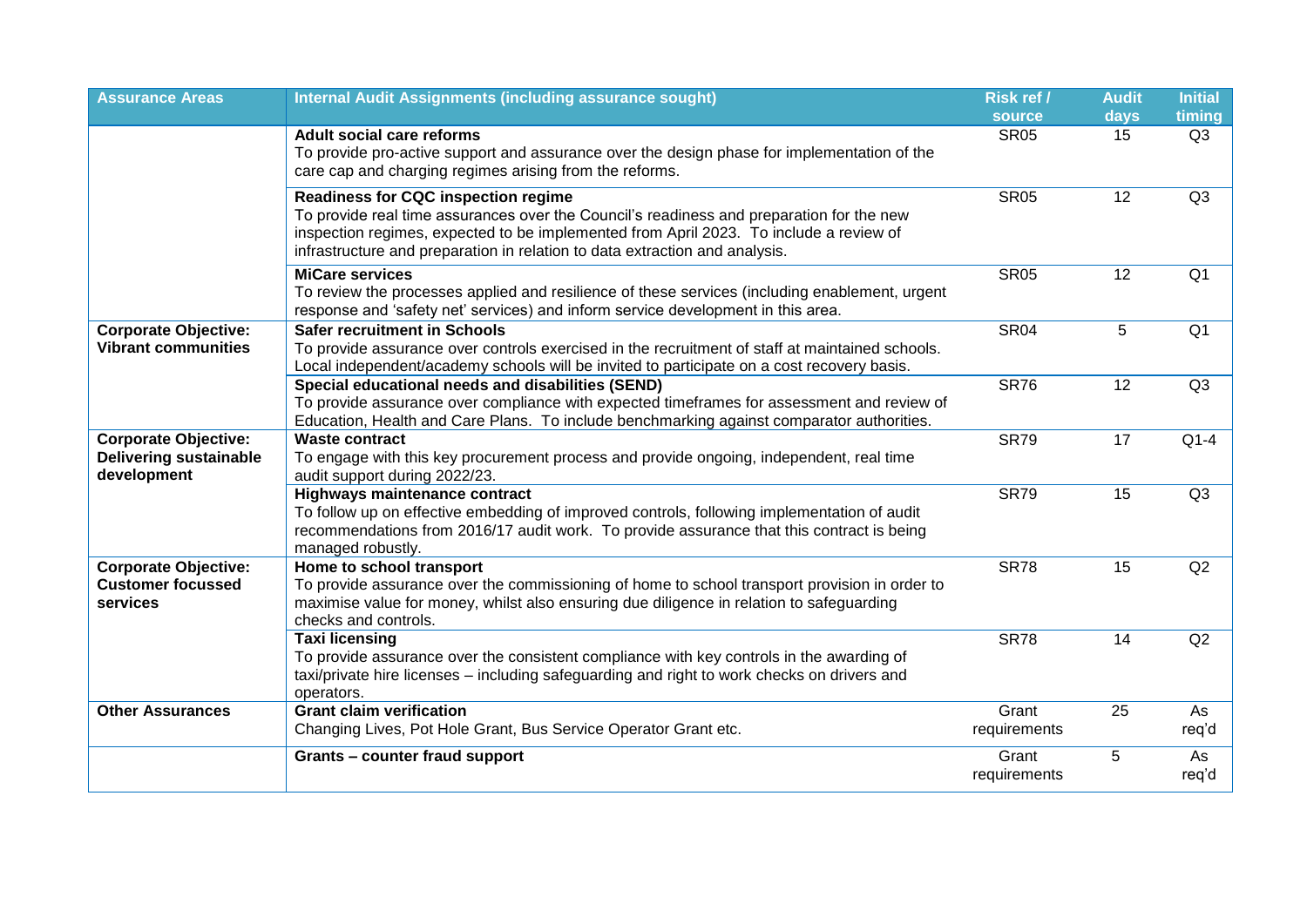| <b>Assurance Areas</b>                                                      | <b>Internal Audit Assignments (including assurance sought)</b>                                                                                                                                                                                                                                                  | Risk ref /            | <b>Audit</b> | <b>Initial</b> |
|-----------------------------------------------------------------------------|-----------------------------------------------------------------------------------------------------------------------------------------------------------------------------------------------------------------------------------------------------------------------------------------------------------------|-----------------------|--------------|----------------|
|                                                                             |                                                                                                                                                                                                                                                                                                                 | <b>source</b>         | days         | timing         |
|                                                                             | <b>Adult social care reforms</b><br>To provide pro-active support and assurance over the design phase for implementation of the<br>care cap and charging regimes arising from the reforms.                                                                                                                      | <b>SR05</b>           | 15           | Q3             |
|                                                                             | <b>Readiness for CQC inspection regime</b><br>To provide real time assurances over the Council's readiness and preparation for the new<br>inspection regimes, expected to be implemented from April 2023. To include a review of<br>infrastructure and preparation in relation to data extraction and analysis. | <b>SR05</b>           | 12           | Q3             |
|                                                                             | <b>MiCare services</b><br>To review the processes applied and resilience of these services (including enablement, urgent<br>response and 'safety net' services) and inform service development in this area.                                                                                                    | <b>SR05</b>           | 12           | Q <sub>1</sub> |
| <b>Corporate Objective:</b><br><b>Vibrant communities</b>                   | <b>Safer recruitment in Schools</b><br>To provide assurance over controls exercised in the recruitment of staff at maintained schools.<br>Local independent/academy schools will be invited to participate on a cost recovery basis.                                                                            | <b>SR04</b>           | 5            | Q <sub>1</sub> |
|                                                                             | Special educational needs and disabilities (SEND)<br>To provide assurance over compliance with expected timeframes for assessment and review of<br>Education, Health and Care Plans. To include benchmarking against comparator authorities.                                                                    | <b>SR76</b>           | 12           | Q3             |
| <b>Corporate Objective:</b><br><b>Delivering sustainable</b><br>development | <b>Waste contract</b><br>To engage with this key procurement process and provide ongoing, independent, real time<br>audit support during 2022/23.                                                                                                                                                               | <b>SR79</b>           | 17           | $Q1-4$         |
|                                                                             | <b>Highways maintenance contract</b><br>To follow up on effective embedding of improved controls, following implementation of audit<br>recommendations from 2016/17 audit work. To provide assurance that this contract is being<br>managed robustly.                                                           | <b>SR79</b>           | 15           | Q3             |
| <b>Corporate Objective:</b><br><b>Customer focussed</b><br>services         | Home to school transport<br>To provide assurance over the commissioning of home to school transport provision in order to<br>maximise value for money, whilst also ensuring due diligence in relation to safeguarding<br>checks and controls.                                                                   | <b>SR78</b>           | 15           | Q2             |
|                                                                             | <b>Taxi licensing</b><br>To provide assurance over the consistent compliance with key controls in the awarding of<br>taxi/private hire licenses - including safeguarding and right to work checks on drivers and<br>operators.                                                                                  | <b>SR78</b>           | 14           | Q2             |
| <b>Other Assurances</b>                                                     | <b>Grant claim verification</b><br>Changing Lives, Pot Hole Grant, Bus Service Operator Grant etc.                                                                                                                                                                                                              | Grant<br>requirements | 25           | As<br>req'd    |
|                                                                             | Grants - counter fraud support                                                                                                                                                                                                                                                                                  | Grant<br>requirements | 5            | As<br>req'd    |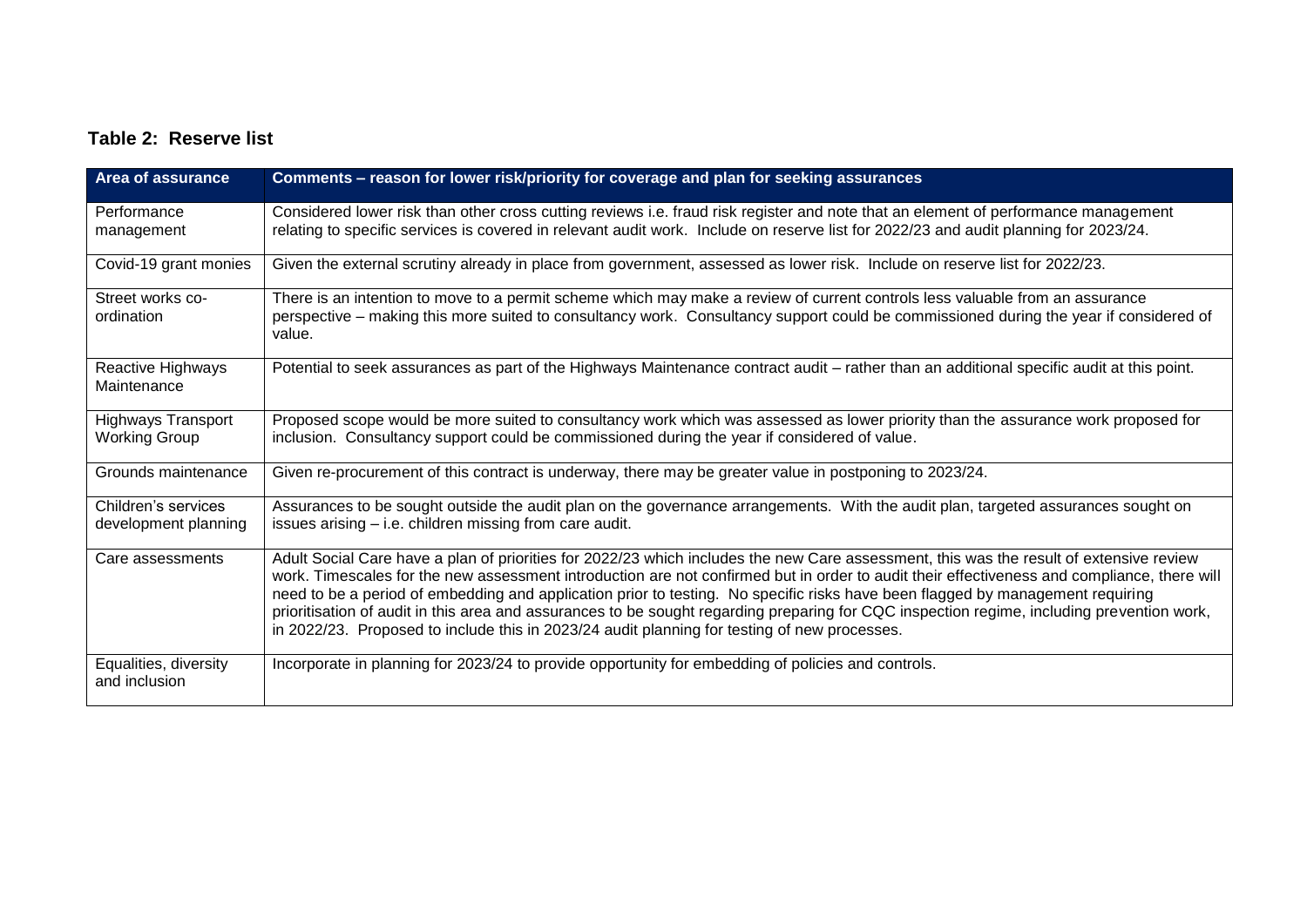# **Table 2: Reserve list**

| Area of assurance                                 | Comments - reason for lower risk/priority for coverage and plan for seeking assurances                                                                                                                                                                                                                                                                                                                                                                                                                                                                                                                                                                                 |
|---------------------------------------------------|------------------------------------------------------------------------------------------------------------------------------------------------------------------------------------------------------------------------------------------------------------------------------------------------------------------------------------------------------------------------------------------------------------------------------------------------------------------------------------------------------------------------------------------------------------------------------------------------------------------------------------------------------------------------|
| Performance<br>management                         | Considered lower risk than other cross cutting reviews i.e. fraud risk register and note that an element of performance management<br>relating to specific services is covered in relevant audit work. Include on reserve list for 2022/23 and audit planning for 2023/24.                                                                                                                                                                                                                                                                                                                                                                                             |
| Covid-19 grant monies                             | Given the external scrutiny already in place from government, assessed as lower risk. Include on reserve list for 2022/23.                                                                                                                                                                                                                                                                                                                                                                                                                                                                                                                                             |
| Street works co-<br>ordination                    | There is an intention to move to a permit scheme which may make a review of current controls less valuable from an assurance<br>perspective – making this more suited to consultancy work. Consultancy support could be commissioned during the year if considered of<br>value.                                                                                                                                                                                                                                                                                                                                                                                        |
| Reactive Highways<br>Maintenance                  | Potential to seek assurances as part of the Highways Maintenance contract audit – rather than an additional specific audit at this point.                                                                                                                                                                                                                                                                                                                                                                                                                                                                                                                              |
| <b>Highways Transport</b><br><b>Working Group</b> | Proposed scope would be more suited to consultancy work which was assessed as lower priority than the assurance work proposed for<br>inclusion. Consultancy support could be commissioned during the year if considered of value.                                                                                                                                                                                                                                                                                                                                                                                                                                      |
| Grounds maintenance                               | Given re-procurement of this contract is underway, there may be greater value in postponing to 2023/24.                                                                                                                                                                                                                                                                                                                                                                                                                                                                                                                                                                |
| Children's services<br>development planning       | Assurances to be sought outside the audit plan on the governance arrangements. With the audit plan, targeted assurances sought on<br>issues arising - i.e. children missing from care audit.                                                                                                                                                                                                                                                                                                                                                                                                                                                                           |
| Care assessments                                  | Adult Social Care have a plan of priorities for 2022/23 which includes the new Care assessment, this was the result of extensive review<br>work. Timescales for the new assessment introduction are not confirmed but in order to audit their effectiveness and compliance, there will<br>need to be a period of embedding and application prior to testing. No specific risks have been flagged by management requiring<br>prioritisation of audit in this area and assurances to be sought regarding preparing for CQC inspection regime, including prevention work,<br>in 2022/23. Proposed to include this in 2023/24 audit planning for testing of new processes. |
| Equalities, diversity<br>and inclusion            | Incorporate in planning for 2023/24 to provide opportunity for embedding of policies and controls.                                                                                                                                                                                                                                                                                                                                                                                                                                                                                                                                                                     |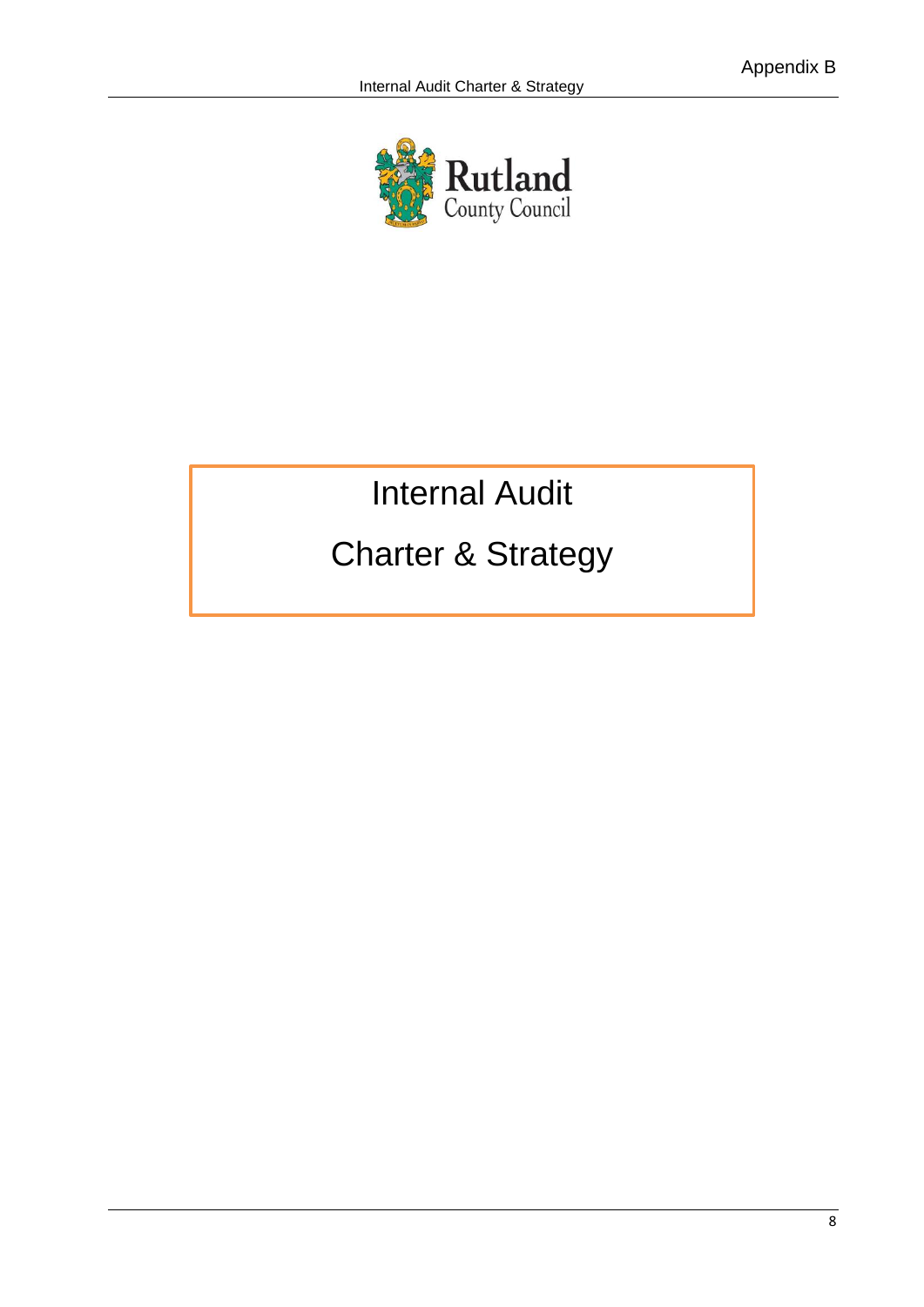

# Internal Audit

# Charter & Strategy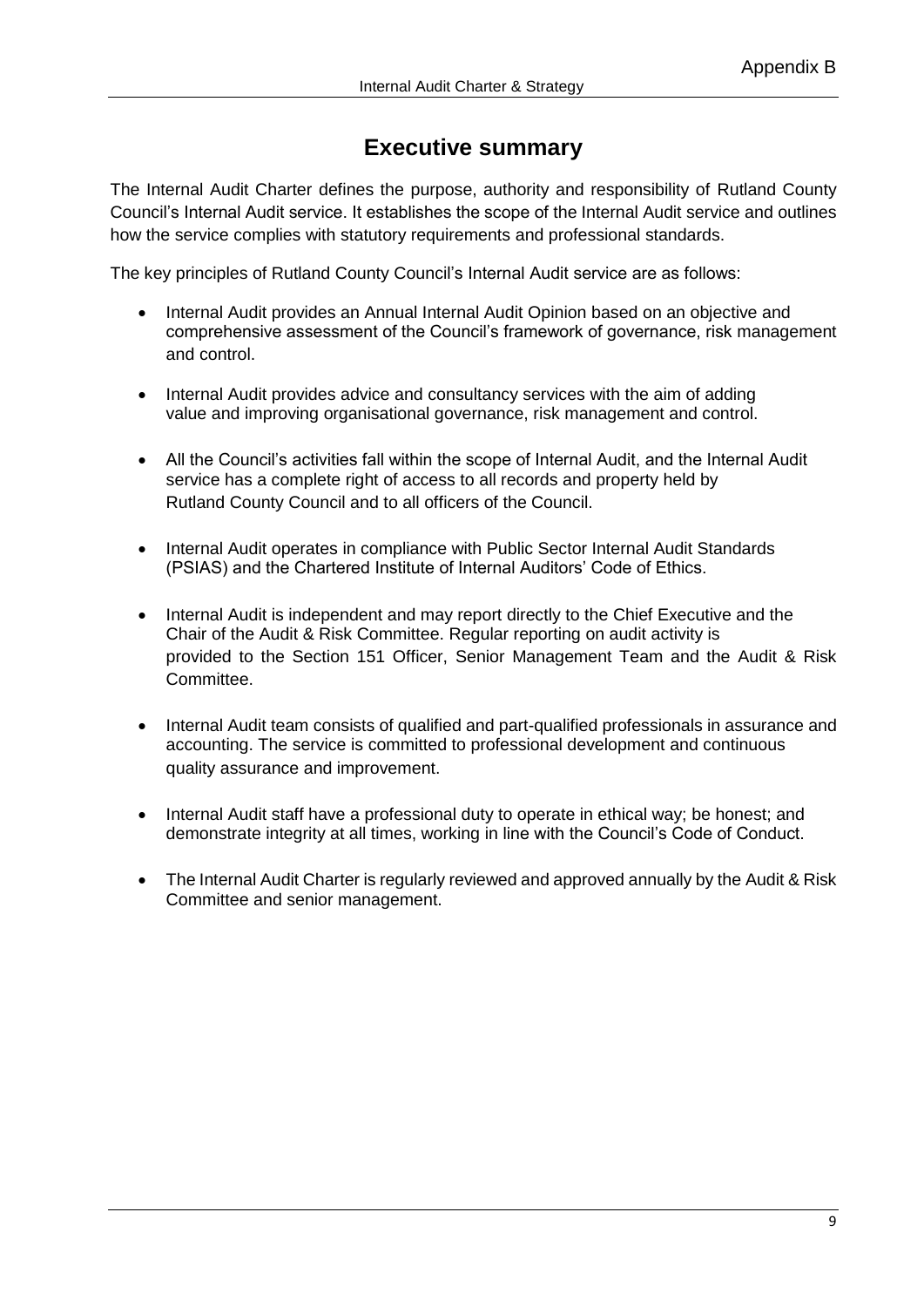# **Executive summary**

The Internal Audit Charter defines the purpose, authority and responsibility of Rutland County Council's Internal Audit service. It establishes the scope of the Internal Audit service and outlines how the service complies with statutory requirements and professional standards.

The key principles of Rutland County Council's Internal Audit service are as follows:

- Internal Audit provides an Annual Internal Audit Opinion based on an objective and comprehensive assessment of the Council's framework of governance, risk management and control.
- Internal Audit provides advice and consultancy services with the aim of adding value and improving organisational governance, risk management and control.
- All the Council's activities fall within the scope of Internal Audit, and the Internal Audit service has a complete right of access to all records and property held by Rutland County Council and to all officers of the Council.
- Internal Audit operates in compliance with Public Sector Internal Audit Standards (PSIAS) and the Chartered Institute of Internal Auditors' Code of Ethics.
- Internal Audit is independent and may report directly to the Chief Executive and the Chair of the Audit & Risk Committee. Regular reporting on audit activity is provided to the Section 151 Officer, Senior Management Team and the Audit & Risk Committee.
- Internal Audit team consists of qualified and part-qualified professionals in assurance and accounting. The service is committed to professional development and continuous quality assurance and improvement.
- Internal Audit staff have a professional duty to operate in ethical way; be honest; and demonstrate integrity at all times, working in line with the Council's Code of Conduct.
- The Internal Audit Charter is regularly reviewed and approved annually by the Audit & Risk Committee and senior management.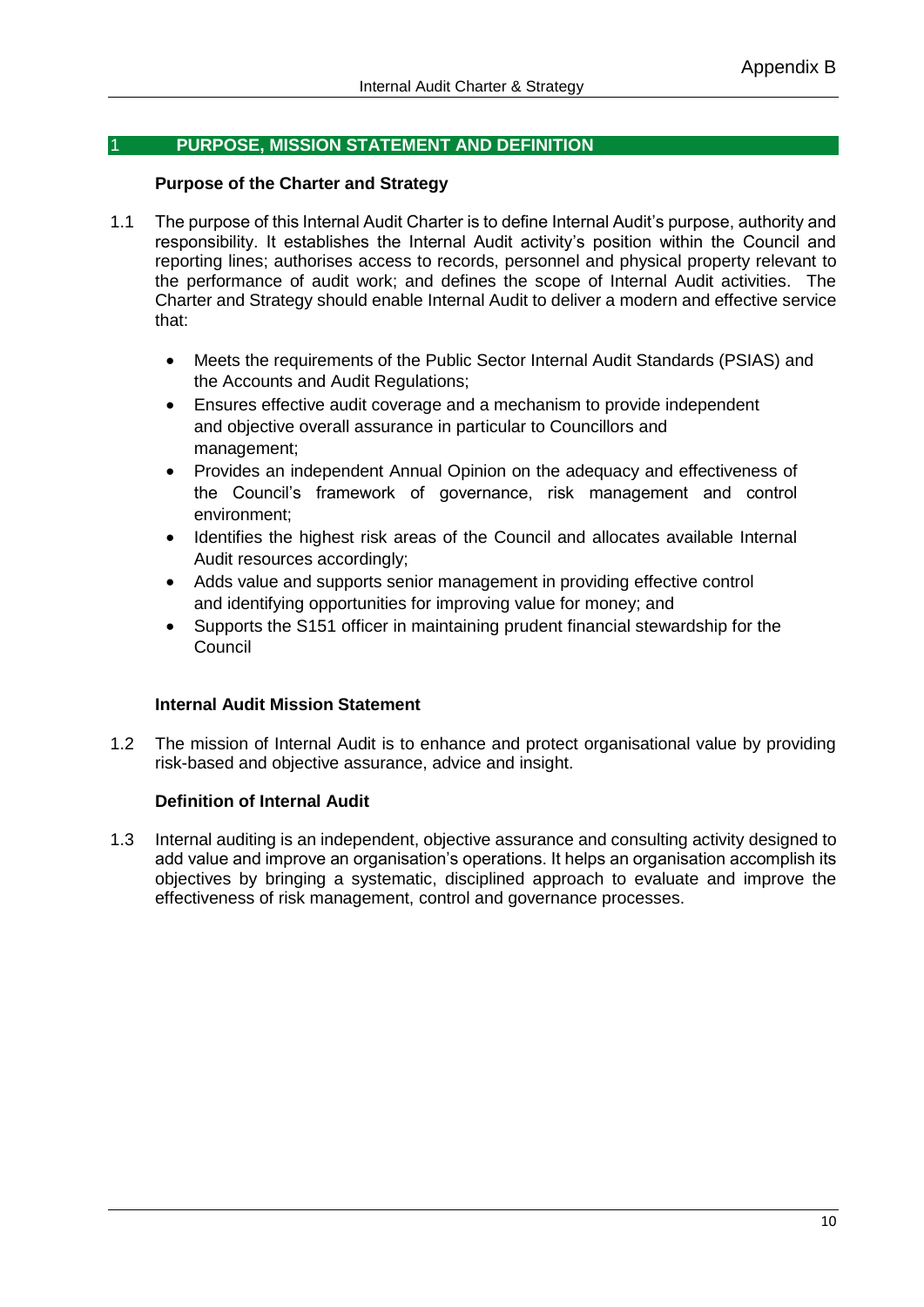## 1 **PURPOSE, MISSION STATEMENT AND DEFINITION**

## **Purpose of the Charter and Strategy**

- 1.1 The purpose of this Internal Audit Charter is to define Internal Audit's purpose, authority and responsibility. It establishes the Internal Audit activity's position within the Council and reporting lines; authorises access to records, personnel and physical property relevant to the performance of audit work; and defines the scope of Internal Audit activities. The Charter and Strategy should enable Internal Audit to deliver a modern and effective service that:
	- Meets the requirements of the Public Sector Internal Audit Standards (PSIAS) and the Accounts and Audit Regulations;
	- Ensures effective audit coverage and a mechanism to provide independent and objective overall assurance in particular to Councillors and management;
	- Provides an independent Annual Opinion on the adequacy and effectiveness of the Council's framework of governance, risk management and control environment;
	- Identifies the highest risk areas of the Council and allocates available Internal Audit resources accordingly;
	- Adds value and supports senior management in providing effective control and identifying opportunities for improving value for money; and
	- Supports the S151 officer in maintaining prudent financial stewardship for the **Council**

## **Internal Audit Mission Statement**

1.2 The mission of Internal Audit is to enhance and protect organisational value by providing risk-based and objective assurance, advice and insight.

## **Definition of Internal Audit**

1.3 Internal auditing is an independent, objective assurance and consulting activity designed to add value and improve an organisation's operations. It helps an organisation accomplish its objectives by bringing a systematic, disciplined approach to evaluate and improve the effectiveness of risk management, control and governance processes.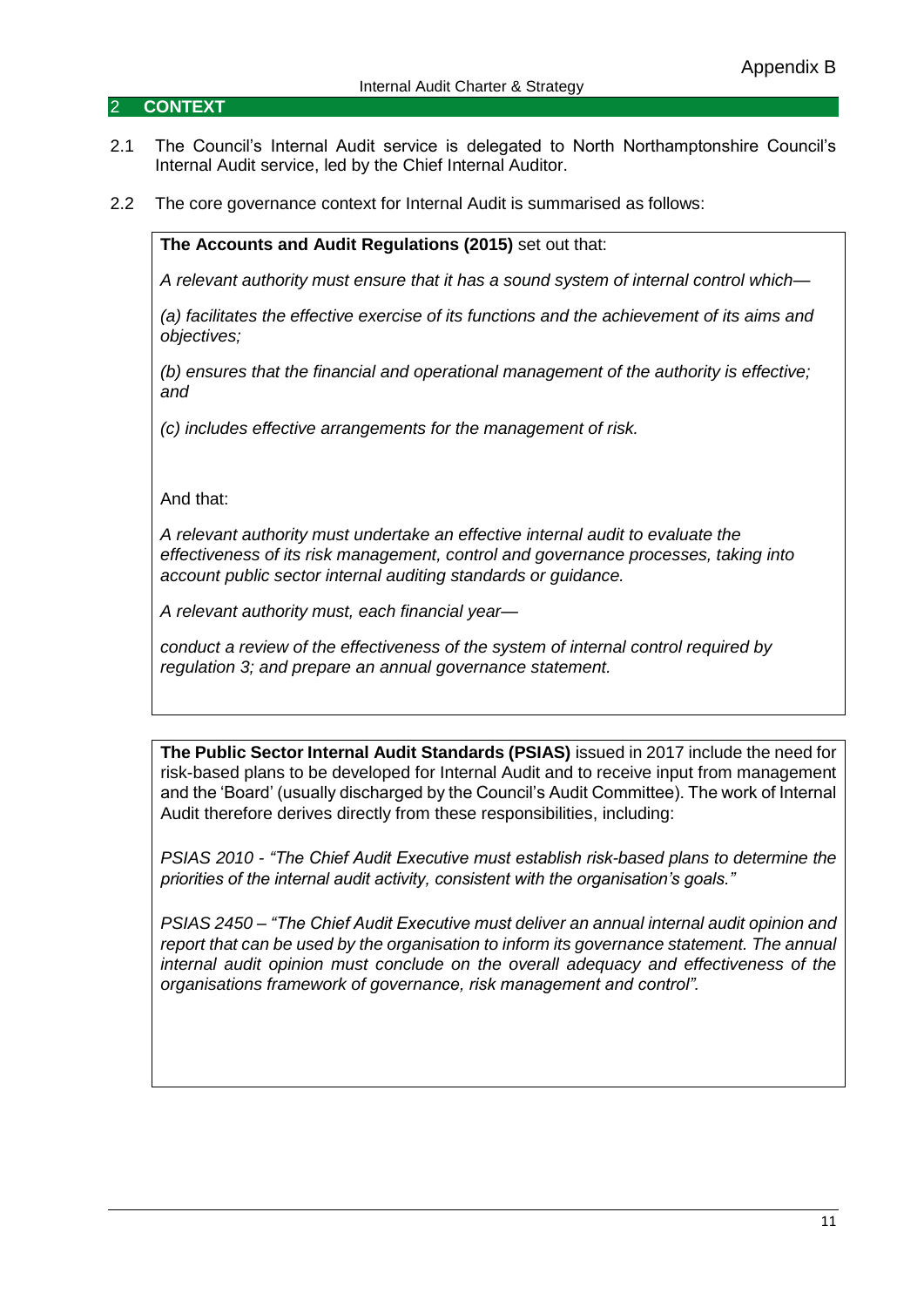#### 2 **CONTEXT**

- 2.1 The Council's Internal Audit service is delegated to North Northamptonshire Council's Internal Audit service, led by the Chief Internal Auditor.
- 2.2 The core governance context for Internal Audit is summarised as follows:

**The Accounts and Audit Regulations (2015)** set out that:

*A relevant authority must ensure that it has a sound system of internal control which—*

*(a) facilitates the effective exercise of its functions and the achievement of its aims and objectives;*

*(b) ensures that the financial and operational management of the authority is effective; and*

*(c) includes effective arrangements for the management of risk.*

And that:

*A relevant authority must undertake an effective internal audit to evaluate the effectiveness of its risk management, control and governance processes, taking into account public sector internal auditing standards or guidance.*

*A relevant authority must, each financial year—*

*conduct a review of the effectiveness of the system of internal control required by regulation 3; and prepare an annual governance statement.*

**The Public Sector Internal Audit Standards (PSIAS)** issued in 2017 include the need for risk-based plans to be developed for Internal Audit and to receive input from management and the 'Board' (usually discharged by the Council's Audit Committee). The work of Internal Audit therefore derives directly from these responsibilities, including:

*PSIAS 2010 - "The Chief Audit Executive must establish risk-based plans to determine the priorities of the internal audit activity, consistent with the organisation's goals."*

*PSIAS 2450 – "The Chief Audit Executive must deliver an annual internal audit opinion and report that can be used by the organisation to inform its governance statement. The annual internal audit opinion must conclude on the overall adequacy and effectiveness of the organisations framework of governance, risk management and control".*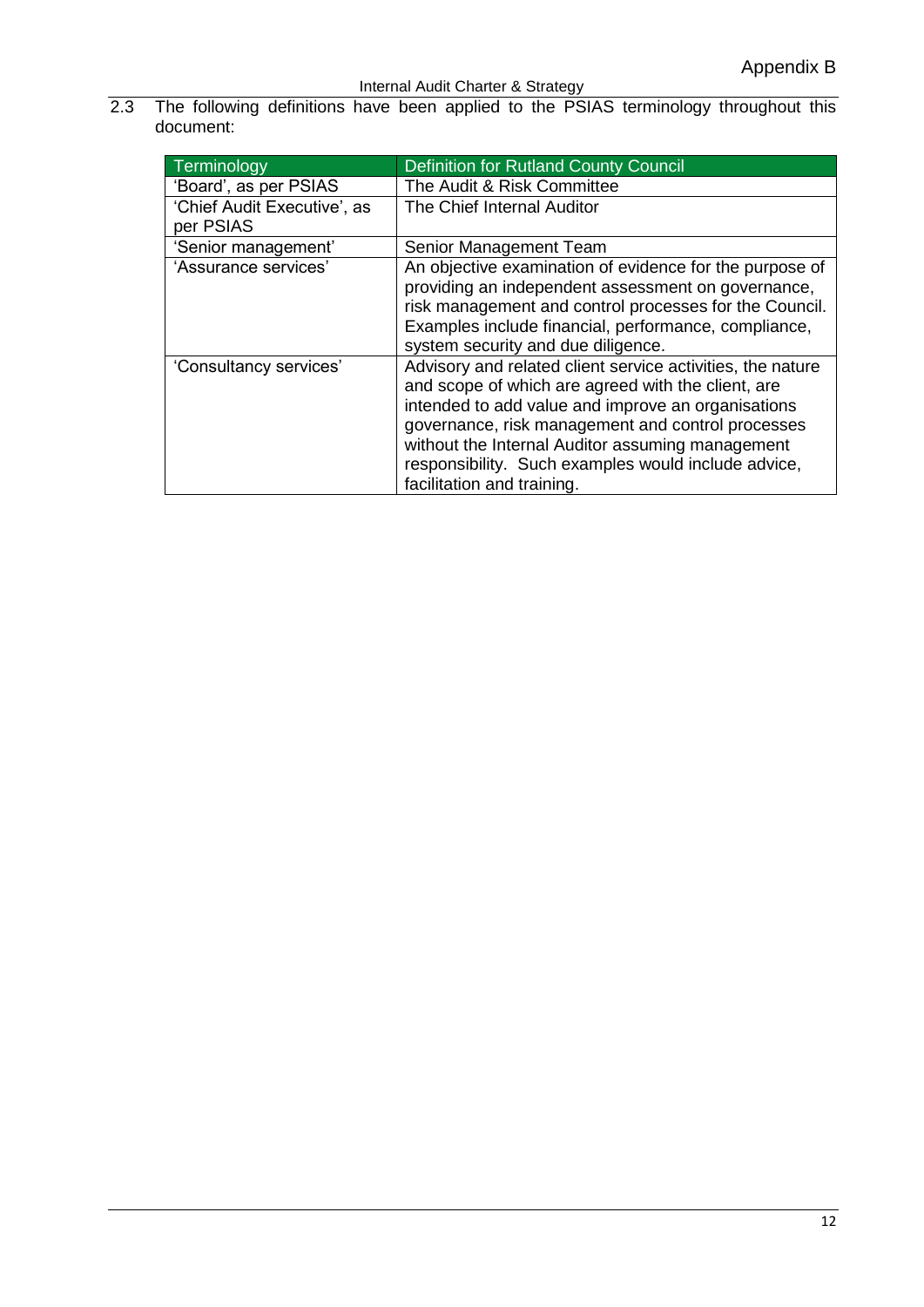2.3 The following definitions have been applied to the PSIAS terminology throughout this document:

| Terminology                 | <b>Definition for Rutland County Council</b>                                                                                                                                                                                                                                                                                                                         |
|-----------------------------|----------------------------------------------------------------------------------------------------------------------------------------------------------------------------------------------------------------------------------------------------------------------------------------------------------------------------------------------------------------------|
| 'Board', as per PSIAS       | The Audit & Risk Committee                                                                                                                                                                                                                                                                                                                                           |
| 'Chief Audit Executive', as | The Chief Internal Auditor                                                                                                                                                                                                                                                                                                                                           |
| per PSIAS                   |                                                                                                                                                                                                                                                                                                                                                                      |
| 'Senior management'         | Senior Management Team                                                                                                                                                                                                                                                                                                                                               |
| 'Assurance services'        | An objective examination of evidence for the purpose of<br>providing an independent assessment on governance,<br>risk management and control processes for the Council.<br>Examples include financial, performance, compliance,<br>system security and due diligence.                                                                                                |
| 'Consultancy services'      | Advisory and related client service activities, the nature<br>and scope of which are agreed with the client, are<br>intended to add value and improve an organisations<br>governance, risk management and control processes<br>without the Internal Auditor assuming management<br>responsibility. Such examples would include advice,<br>facilitation and training. |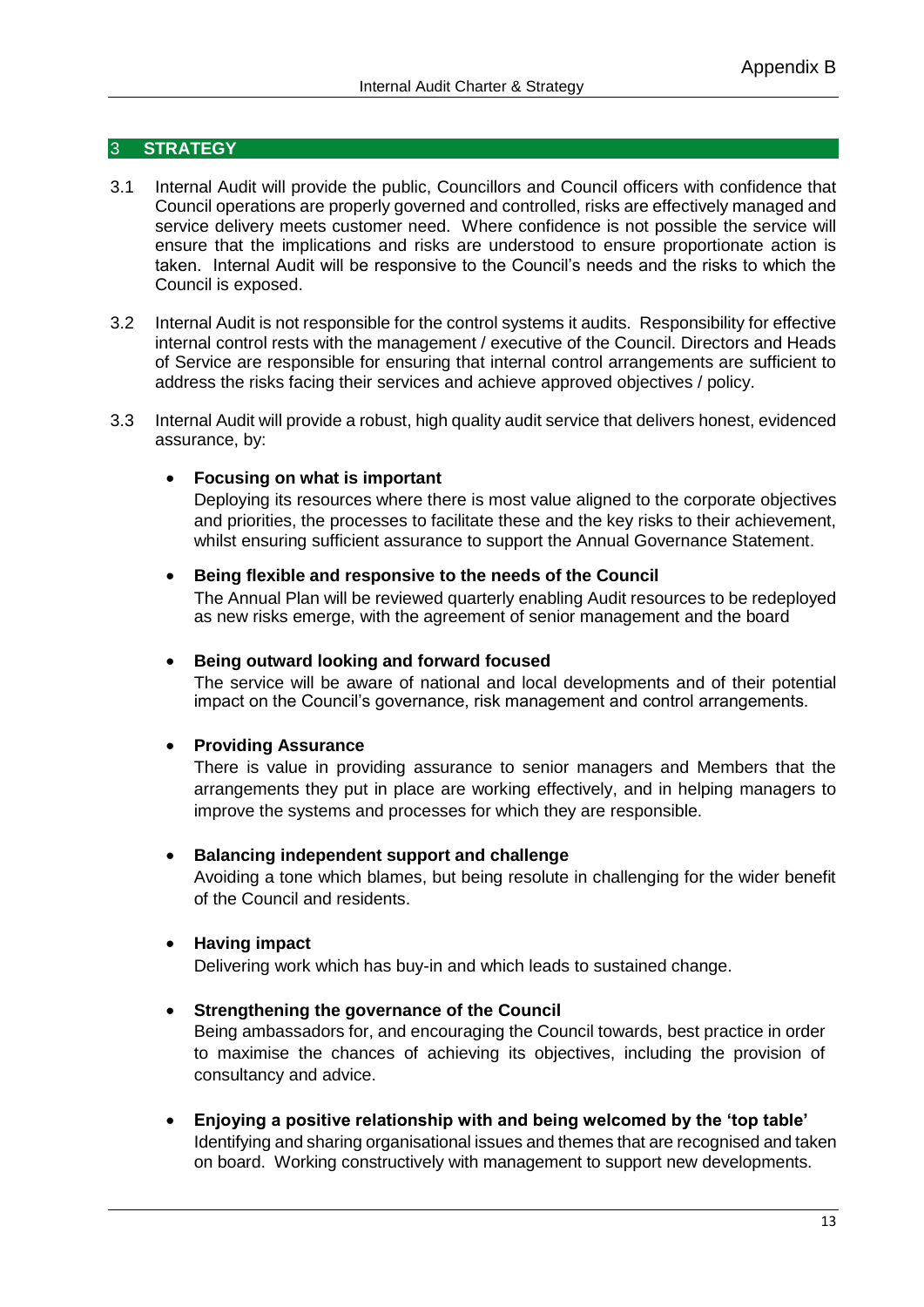## 3 **STRATEGY**

- 3.1 Internal Audit will provide the public, Councillors and Council officers with confidence that Council operations are properly governed and controlled, risks are effectively managed and service delivery meets customer need. Where confidence is not possible the service will ensure that the implications and risks are understood to ensure proportionate action is taken. Internal Audit will be responsive to the Council's needs and the risks to which the Council is exposed.
- 3.2 Internal Audit is not responsible for the control systems it audits. Responsibility for effective internal control rests with the management / executive of the Council. Directors and Heads of Service are responsible for ensuring that internal control arrangements are sufficient to address the risks facing their services and achieve approved objectives / policy.
- 3.3 Internal Audit will provide a robust, high quality audit service that delivers honest, evidenced assurance, by:

#### **Focusing on what is important**

Deploying its resources where there is most value aligned to the corporate objectives and priorities, the processes to facilitate these and the key risks to their achievement, whilst ensuring sufficient assurance to support the Annual Governance Statement.

#### **Being flexible and responsive to the needs of the Council**

The Annual Plan will be reviewed quarterly enabling Audit resources to be redeployed as new risks emerge, with the agreement of senior management and the board

#### **Being outward looking and forward focused**

The service will be aware of national and local developments and of their potential impact on the Council's governance, risk management and control arrangements.

## **Providing Assurance**

There is value in providing assurance to senior managers and Members that the arrangements they put in place are working effectively, and in helping managers to improve the systems and processes for which they are responsible.

#### **Balancing independent support and challenge**

Avoiding a tone which blames, but being resolute in challenging for the wider benefit of the Council and residents.

## **Having impact**

Delivering work which has buy-in and which leads to sustained change.

#### **Strengthening the governance of the Council**

Being ambassadors for, and encouraging the Council towards, best practice in order to maximise the chances of achieving its objectives, including the provision of consultancy and advice.

 **Enjoying a positive relationship with and being welcomed by the 'top table'** Identifying and sharing organisational issues and themes that are recognised and taken on board. Working constructively with management to support new developments.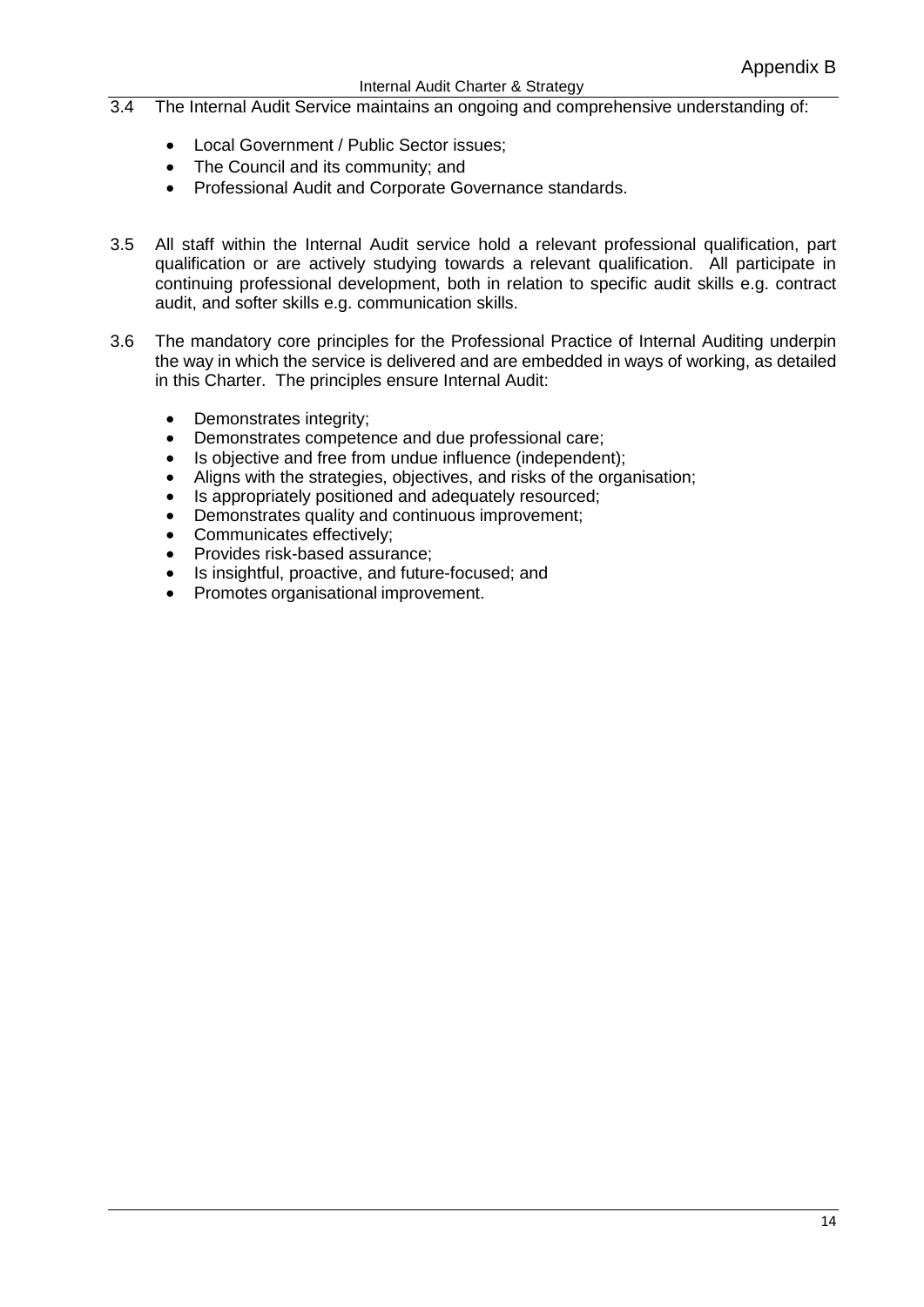- 3.4 The Internal Audit Service maintains an ongoing and comprehensive understanding of:
	- Local Government / Public Sector issues;
	- The Council and its community: and
	- Professional Audit and Corporate Governance standards.
- 3.5 All staff within the Internal Audit service hold a relevant professional qualification, part qualification or are actively studying towards a relevant qualification. All participate in continuing professional development, both in relation to specific audit skills e.g. contract audit, and softer skills e.g. communication skills.
- 3.6 The mandatory core principles for the Professional Practice of Internal Auditing underpin the way in which the service is delivered and are embedded in ways of working, as detailed in this Charter. The principles ensure Internal Audit:
	- Demonstrates integrity;
	- Demonstrates competence and due professional care;
	- Is objective and free from undue influence (independent):
	- Aligns with the strategies, objectives, and risks of the organisation;
	- Is appropriately positioned and adequately resourced:
	- Demonstrates quality and continuous improvement;
	- Communicates effectively;
	- Provides risk-based assurance:
	- Is insightful, proactive, and future-focused; and
	- Promotes organisational improvement.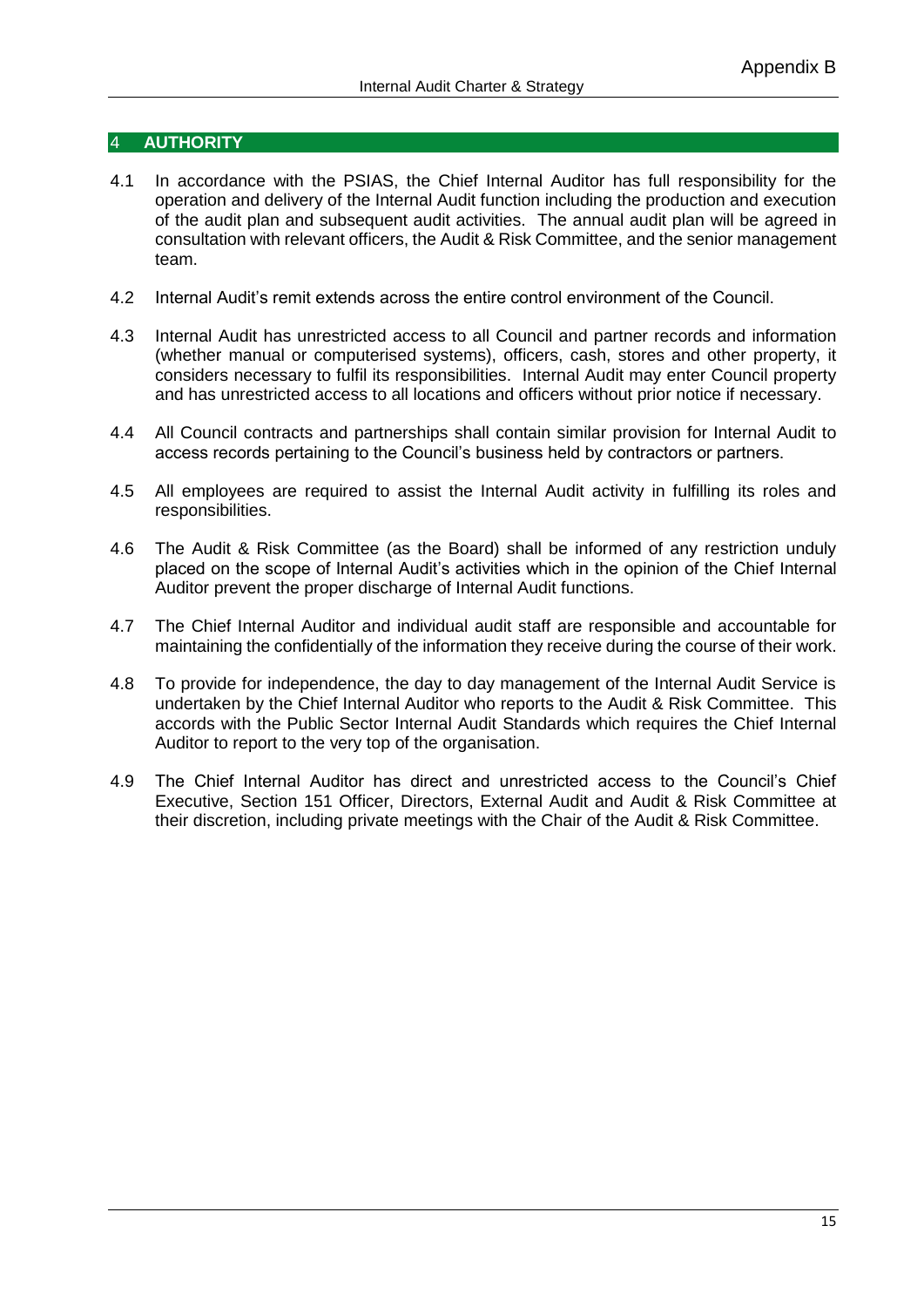#### 4 **AUTHORITY**

- 4.1 In accordance with the PSIAS, the Chief Internal Auditor has full responsibility for the operation and delivery of the Internal Audit function including the production and execution of the audit plan and subsequent audit activities. The annual audit plan will be agreed in consultation with relevant officers, the Audit & Risk Committee, and the senior management team.
- 4.2 Internal Audit's remit extends across the entire control environment of the Council.
- 4.3 Internal Audit has unrestricted access to all Council and partner records and information (whether manual or computerised systems), officers, cash, stores and other property, it considers necessary to fulfil its responsibilities. Internal Audit may enter Council property and has unrestricted access to all locations and officers without prior notice if necessary.
- 4.4 All Council contracts and partnerships shall contain similar provision for Internal Audit to access records pertaining to the Council's business held by contractors or partners.
- 4.5 All employees are required to assist the Internal Audit activity in fulfilling its roles and responsibilities.
- 4.6 The Audit & Risk Committee (as the Board) shall be informed of any restriction unduly placed on the scope of Internal Audit's activities which in the opinion of the Chief Internal Auditor prevent the proper discharge of Internal Audit functions.
- 4.7 The Chief Internal Auditor and individual audit staff are responsible and accountable for maintaining the confidentially of the information they receive during the course of their work.
- 4.8 To provide for independence, the day to day management of the Internal Audit Service is undertaken by the Chief Internal Auditor who reports to the Audit & Risk Committee. This accords with the Public Sector Internal Audit Standards which requires the Chief Internal Auditor to report to the very top of the organisation.
- 4.9 The Chief Internal Auditor has direct and unrestricted access to the Council's Chief Executive, Section 151 Officer, Directors, External Audit and Audit & Risk Committee at their discretion, including private meetings with the Chair of the Audit & Risk Committee.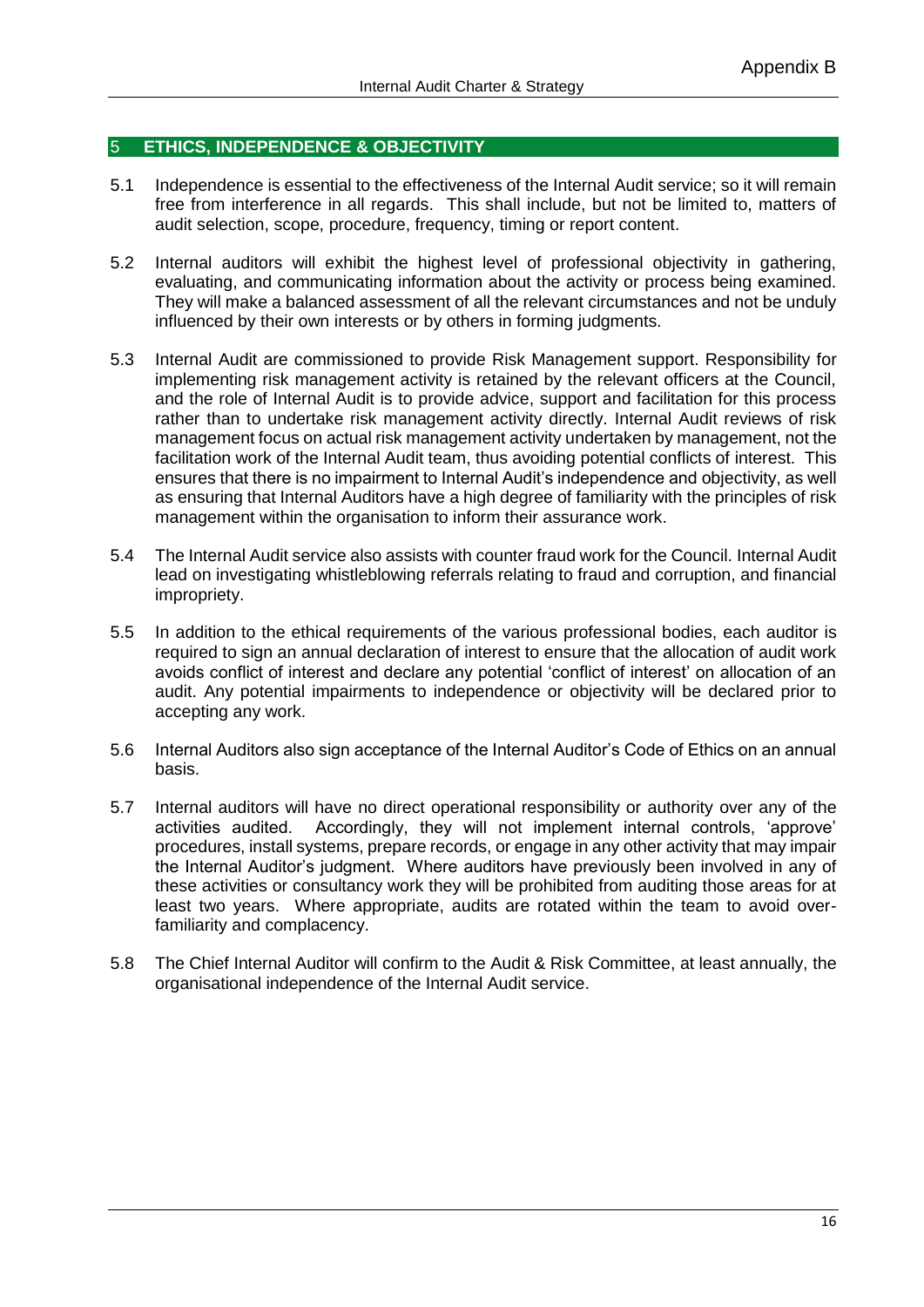#### 5 **ETHICS, INDEPENDENCE & OBJECTIVITY**

- 5.1 Independence is essential to the effectiveness of the Internal Audit service; so it will remain free from interference in all regards. This shall include, but not be limited to, matters of audit selection, scope, procedure, frequency, timing or report content.
- 5.2 Internal auditors will exhibit the highest level of professional objectivity in gathering, evaluating, and communicating information about the activity or process being examined. They will make a balanced assessment of all the relevant circumstances and not be unduly influenced by their own interests or by others in forming judgments.
- 5.3 Internal Audit are commissioned to provide Risk Management support. Responsibility for implementing risk management activity is retained by the relevant officers at the Council, and the role of Internal Audit is to provide advice, support and facilitation for this process rather than to undertake risk management activity directly. Internal Audit reviews of risk management focus on actual risk management activity undertaken by management, not the facilitation work of the Internal Audit team, thus avoiding potential conflicts of interest. This ensures that there is no impairment to Internal Audit's independence and objectivity, as well as ensuring that Internal Auditors have a high degree of familiarity with the principles of risk management within the organisation to inform their assurance work.
- 5.4 The Internal Audit service also assists with counter fraud work for the Council. Internal Audit lead on investigating whistleblowing referrals relating to fraud and corruption, and financial impropriety.
- 5.5 In addition to the ethical requirements of the various professional bodies, each auditor is required to sign an annual declaration of interest to ensure that the allocation of audit work avoids conflict of interest and declare any potential 'conflict of interest' on allocation of an audit. Any potential impairments to independence or objectivity will be declared prior to accepting any work.
- 5.6 Internal Auditors also sign acceptance of the Internal Auditor's Code of Ethics on an annual basis.
- 5.7 Internal auditors will have no direct operational responsibility or authority over any of the activities audited. Accordingly, they will not implement internal controls, 'approve' procedures, install systems, prepare records, or engage in any other activity that may impair the Internal Auditor's judgment. Where auditors have previously been involved in any of these activities or consultancy work they will be prohibited from auditing those areas for at least two years. Where appropriate, audits are rotated within the team to avoid overfamiliarity and complacency.
- 5.8 The Chief Internal Auditor will confirm to the Audit & Risk Committee, at least annually, the organisational independence of the Internal Audit service.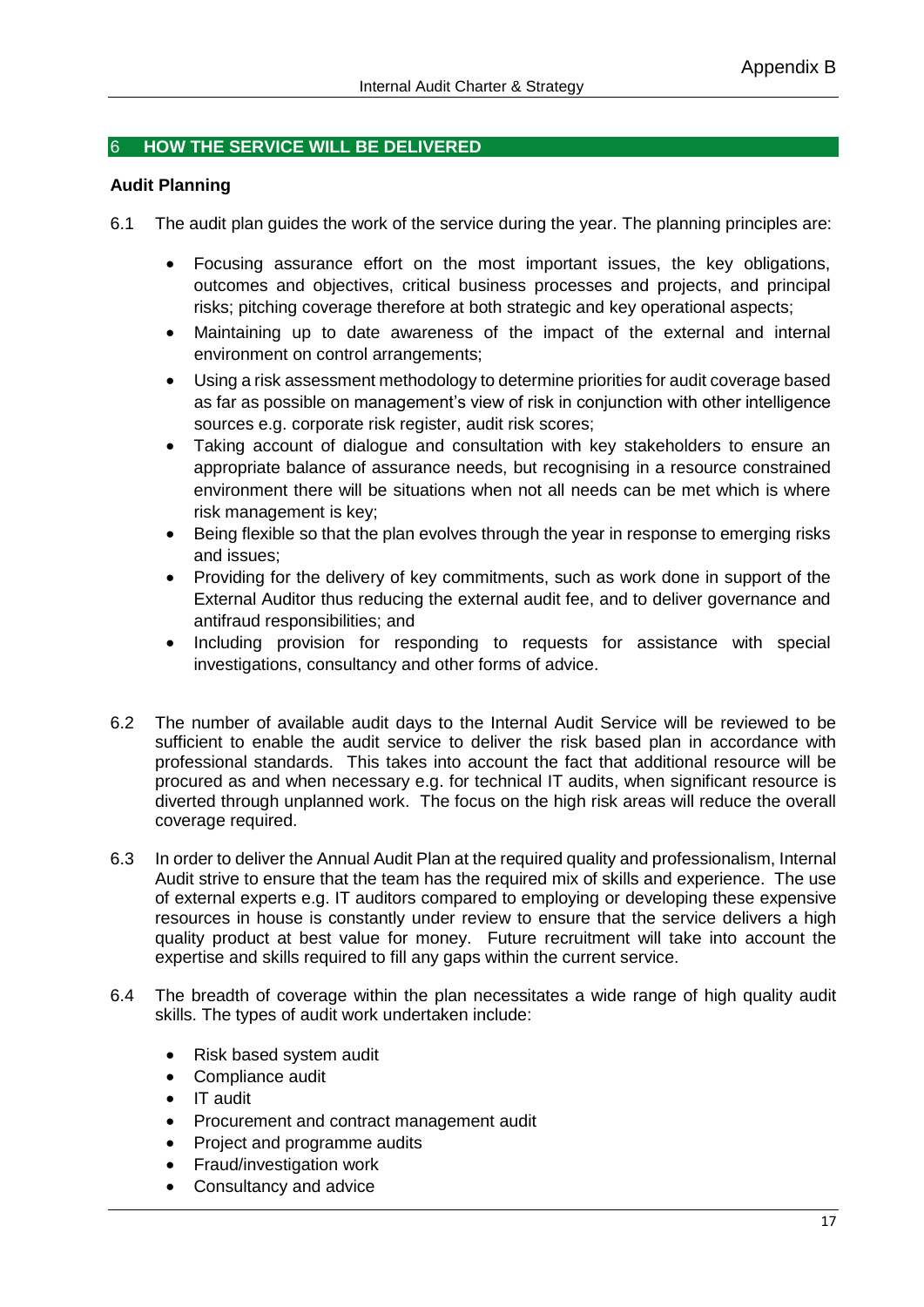## 6 **HOW THE SERVICE WILL BE DELIVERED**

## **Audit Planning**

- 6.1 The audit plan guides the work of the service during the year. The planning principles are:
	- Focusing assurance effort on the most important issues, the key obligations, outcomes and objectives, critical business processes and projects, and principal risks; pitching coverage therefore at both strategic and key operational aspects;
	- Maintaining up to date awareness of the impact of the external and internal environment on control arrangements;
	- Using a risk assessment methodology to determine priorities for audit coverage based as far as possible on management's view of risk in conjunction with other intelligence sources e.g. corporate risk register, audit risk scores;
	- Taking account of dialogue and consultation with key stakeholders to ensure an appropriate balance of assurance needs, but recognising in a resource constrained environment there will be situations when not all needs can be met which is where risk management is key;
	- Being flexible so that the plan evolves through the year in response to emerging risks and issues;
	- Providing for the delivery of key commitments, such as work done in support of the External Auditor thus reducing the external audit fee, and to deliver governance and antifraud responsibilities; and
	- Including provision for responding to requests for assistance with special investigations, consultancy and other forms of advice.
- 6.2 The number of available audit days to the Internal Audit Service will be reviewed to be sufficient to enable the audit service to deliver the risk based plan in accordance with professional standards. This takes into account the fact that additional resource will be procured as and when necessary e.g. for technical IT audits, when significant resource is diverted through unplanned work. The focus on the high risk areas will reduce the overall coverage required.
- 6.3 In order to deliver the Annual Audit Plan at the required quality and professionalism, Internal Audit strive to ensure that the team has the required mix of skills and experience. The use of external experts e.g. IT auditors compared to employing or developing these expensive resources in house is constantly under review to ensure that the service delivers a high quality product at best value for money. Future recruitment will take into account the expertise and skills required to fill any gaps within the current service.
- 6.4 The breadth of coverage within the plan necessitates a wide range of high quality audit skills. The types of audit work undertaken include:
	- Risk based system audit
	- Compliance audit
	- IT audit
	- Procurement and contract management audit
	- Project and programme audits
	- Fraud/investigation work
	- Consultancy and advice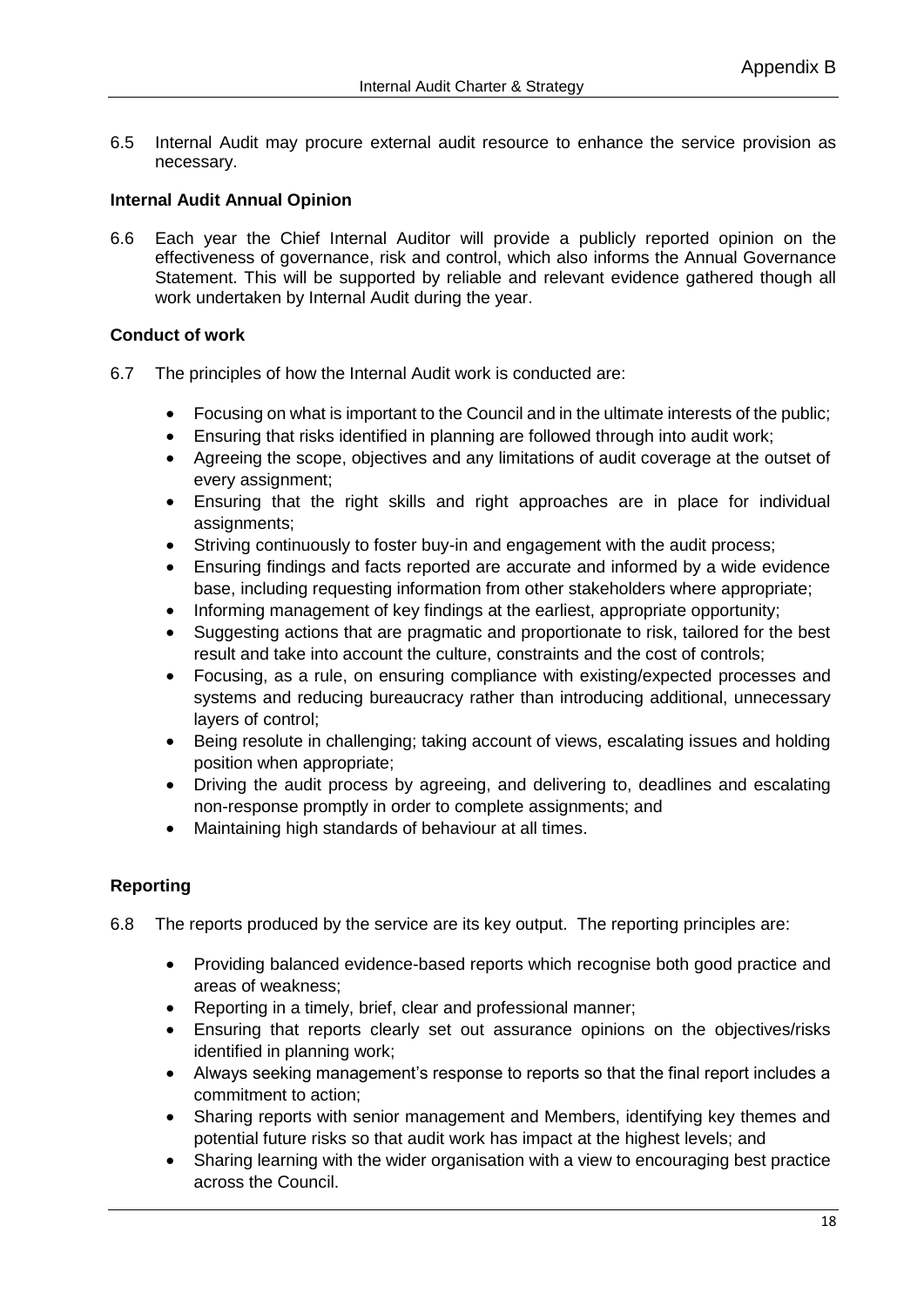6.5 Internal Audit may procure external audit resource to enhance the service provision as necessary.

## **Internal Audit Annual Opinion**

6.6 Each year the Chief Internal Auditor will provide a publicly reported opinion on the effectiveness of governance, risk and control, which also informs the Annual Governance Statement. This will be supported by reliable and relevant evidence gathered though all work undertaken by Internal Audit during the year.

## **Conduct of work**

- 6.7 The principles of how the Internal Audit work is conducted are:
	- Focusing on what is important to the Council and in the ultimate interests of the public;
	- Ensuring that risks identified in planning are followed through into audit work;
	- Agreeing the scope, objectives and any limitations of audit coverage at the outset of every assignment;
	- Ensuring that the right skills and right approaches are in place for individual assignments;
	- Striving continuously to foster buy-in and engagement with the audit process;
	- Ensuring findings and facts reported are accurate and informed by a wide evidence base, including requesting information from other stakeholders where appropriate;
	- Informing management of key findings at the earliest, appropriate opportunity;
	- Suggesting actions that are pragmatic and proportionate to risk, tailored for the best result and take into account the culture, constraints and the cost of controls;
	- Focusing, as a rule, on ensuring compliance with existing/expected processes and systems and reducing bureaucracy rather than introducing additional, unnecessary layers of control;
	- Being resolute in challenging; taking account of views, escalating issues and holding position when appropriate;
	- Driving the audit process by agreeing, and delivering to, deadlines and escalating non-response promptly in order to complete assignments; and
	- Maintaining high standards of behaviour at all times.

## **Reporting**

- 6.8 The reports produced by the service are its key output. The reporting principles are:
	- Providing balanced evidence-based reports which recognise both good practice and areas of weakness;
	- Reporting in a timely, brief, clear and professional manner;
	- Ensuring that reports clearly set out assurance opinions on the objectives/risks identified in planning work;
	- Always seeking management's response to reports so that the final report includes a commitment to action;
	- Sharing reports with senior management and Members, identifying key themes and potential future risks so that audit work has impact at the highest levels; and
	- Sharing learning with the wider organisation with a view to encouraging best practice across the Council.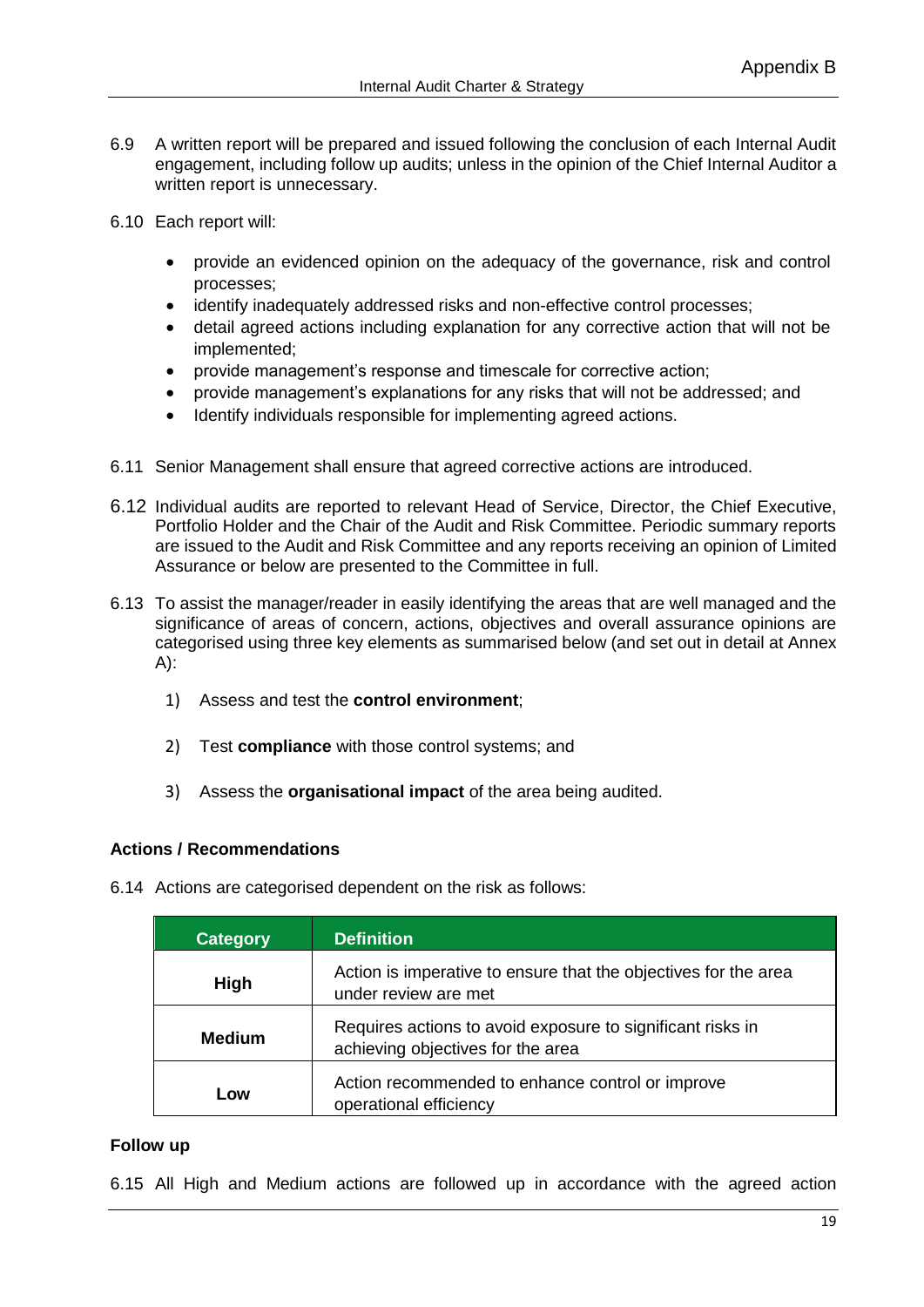- 6.9 A written report will be prepared and issued following the conclusion of each Internal Audit engagement, including follow up audits; unless in the opinion of the Chief Internal Auditor a written report is unnecessary.
- 6.10 Each report will:
	- provide an evidenced opinion on the adequacy of the governance, risk and control processes;
	- identify inadequately addressed risks and non-effective control processes;
	- detail agreed actions including explanation for any corrective action that will not be implemented;
	- provide management's response and timescale for corrective action;
	- provide management's explanations for any risks that will not be addressed; and
	- Identify individuals responsible for implementing agreed actions.
- 6.11 Senior Management shall ensure that agreed corrective actions are introduced.
- 6.12 Individual audits are reported to relevant Head of Service, Director, the Chief Executive, Portfolio Holder and the Chair of the Audit and Risk Committee. Periodic summary reports are issued to the Audit and Risk Committee and any reports receiving an opinion of Limited Assurance or below are presented to the Committee in full.
- 6.13 To assist the manager/reader in easily identifying the areas that are well managed and the significance of areas of concern, actions, objectives and overall assurance opinions are categorised using three key elements as summarised below (and set out in detail at Annex A):
	- 1) Assess and test the **control environment**;
	- 2) Test **compliance** with those control systems; and
	- 3) Assess the **organisational impact** of the area being audited.

## **Actions / Recommendations**

6.14 Actions are categorised dependent on the risk as follows:

| <b>Category</b> | Definition                                                                                      |  |
|-----------------|-------------------------------------------------------------------------------------------------|--|
| High            | Action is imperative to ensure that the objectives for the area<br>under review are met         |  |
| <b>Medium</b>   | Requires actions to avoid exposure to significant risks in<br>achieving objectives for the area |  |
| Low             | Action recommended to enhance control or improve<br>operational efficiency                      |  |

## **Follow up**

6.15 All High and Medium actions are followed up in accordance with the agreed action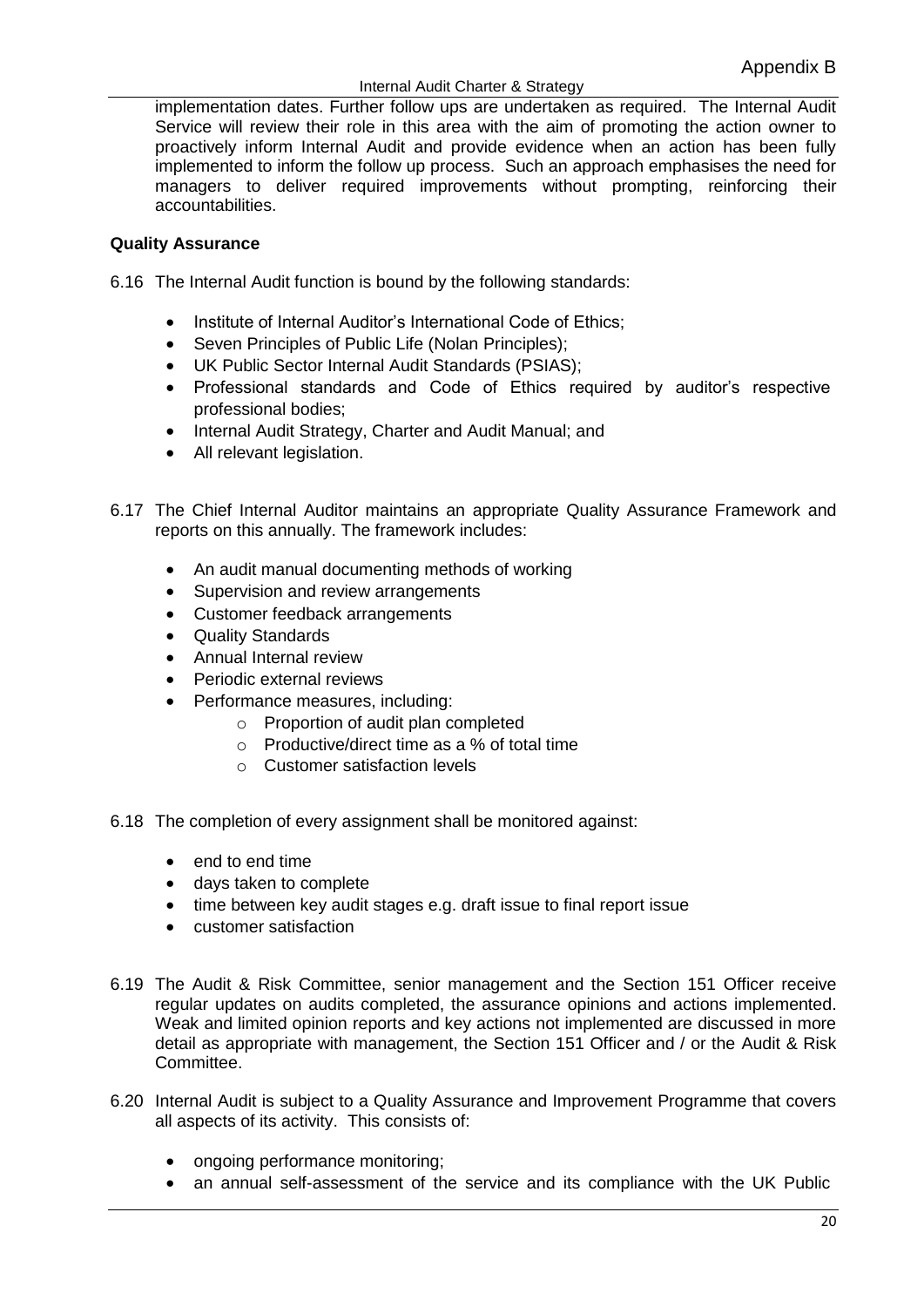#### Internal Audit Charter & Strategy

implementation dates. Further follow ups are undertaken as required. The Internal Audit Service will review their role in this area with the aim of promoting the action owner to proactively inform Internal Audit and provide evidence when an action has been fully implemented to inform the follow up process. Such an approach emphasises the need for managers to deliver required improvements without prompting, reinforcing their accountabilities.

## **Quality Assurance**

6.16 The Internal Audit function is bound by the following standards:

- Institute of Internal Auditor's International Code of Ethics:
- Seven Principles of Public Life (Nolan Principles);
- UK Public Sector Internal Audit Standards (PSIAS);
- Professional standards and Code of Ethics required by auditor's respective professional bodies;
- Internal Audit Strategy, Charter and Audit Manual; and
- All relevant legislation.
- 6.17 The Chief Internal Auditor maintains an appropriate Quality Assurance Framework and reports on this annually. The framework includes:
	- An audit manual documenting methods of working
	- Supervision and review arrangements
	- Customer feedback arrangements
	- Quality Standards
	- Annual Internal review
	- Periodic external reviews
	- Performance measures, including:
		- o Proportion of audit plan completed
		- o Productive/direct time as a % of total time
		- o Customer satisfaction levels
- 6.18 The completion of every assignment shall be monitored against:
	- end to end time
	- days taken to complete
	- time between key audit stages e.g. draft issue to final report issue
	- customer satisfaction
- 6.19 The Audit & Risk Committee, senior management and the Section 151 Officer receive regular updates on audits completed, the assurance opinions and actions implemented. Weak and limited opinion reports and key actions not implemented are discussed in more detail as appropriate with management, the Section 151 Officer and / or the Audit & Risk Committee.
- 6.20 Internal Audit is subject to a Quality Assurance and Improvement Programme that covers all aspects of its activity. This consists of:
	- ongoing performance monitoring;
	- an annual self-assessment of the service and its compliance with the UK Public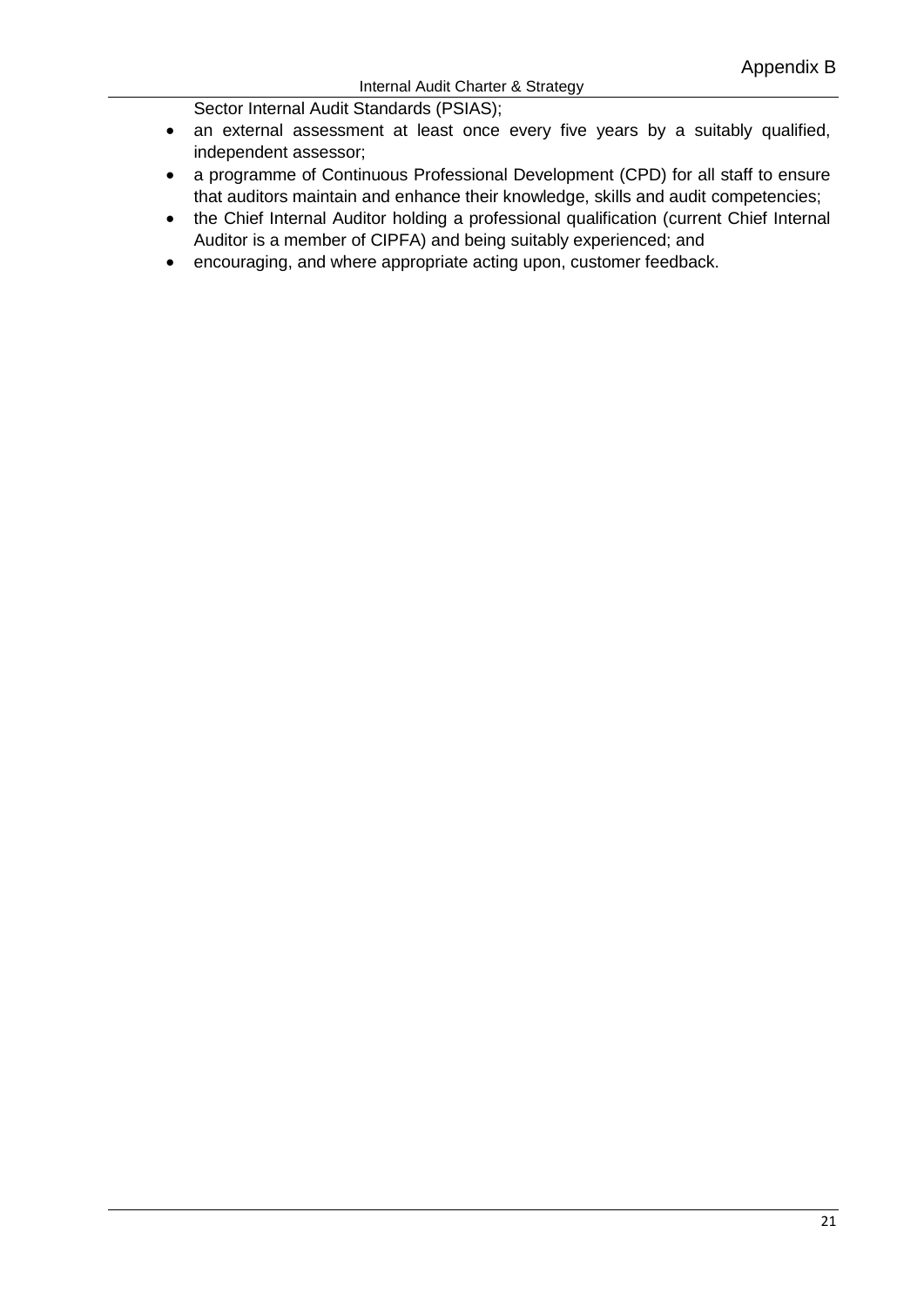#### Internal Audit Charter & Strategy

Sector Internal Audit Standards (PSIAS);

- an external assessment at least once every five years by a suitably qualified, independent assessor;
- a programme of Continuous Professional Development (CPD) for all staff to ensure that auditors maintain and enhance their knowledge, skills and audit competencies;
- the Chief Internal Auditor holding a professional qualification (current Chief Internal Auditor is a member of CIPFA) and being suitably experienced; and
- encouraging, and where appropriate acting upon, customer feedback.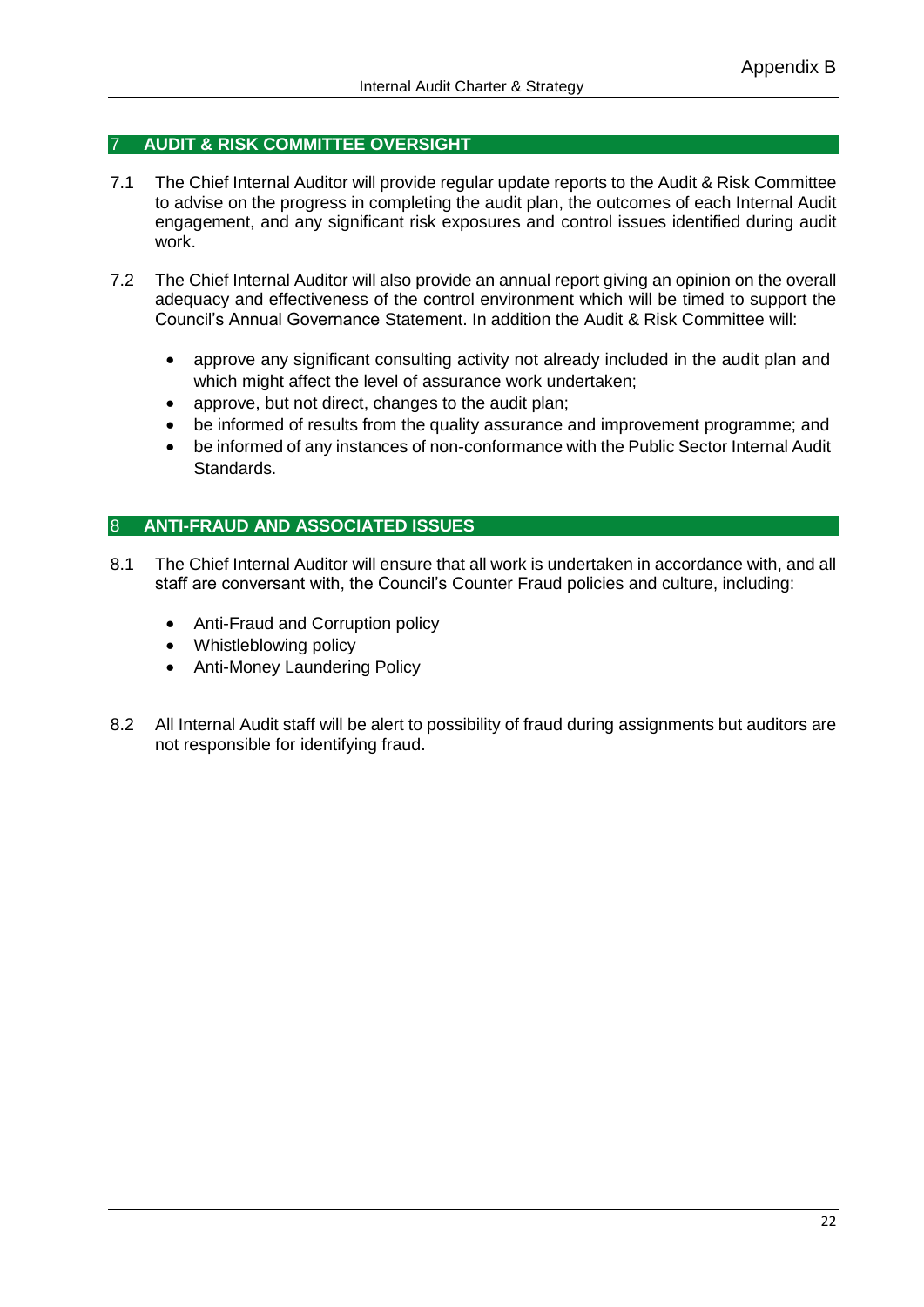## 7 **AUDIT & RISK COMMITTEE OVERSIGHT**

- 7.1 The Chief Internal Auditor will provide regular update reports to the Audit & Risk Committee to advise on the progress in completing the audit plan, the outcomes of each Internal Audit engagement, and any significant risk exposures and control issues identified during audit work.
- 7.2 The Chief Internal Auditor will also provide an annual report giving an opinion on the overall adequacy and effectiveness of the control environment which will be timed to support the Council's Annual Governance Statement. In addition the Audit & Risk Committee will:
	- approve any significant consulting activity not already included in the audit plan and which might affect the level of assurance work undertaken;
	- approve, but not direct, changes to the audit plan:
	- be informed of results from the quality assurance and improvement programme; and
	- be informed of any instances of non-conformance with the Public Sector Internal Audit Standards.

## 8 **ANTI-FRAUD AND ASSOCIATED ISSUES**

- 8.1 The Chief Internal Auditor will ensure that all work is undertaken in accordance with, and all staff are conversant with, the Council's Counter Fraud policies and culture, including:
	- Anti-Fraud and Corruption policy
	- Whistleblowing policy
	- Anti-Money Laundering Policy
- 8.2 All Internal Audit staff will be alert to possibility of fraud during assignments but auditors are not responsible for identifying fraud.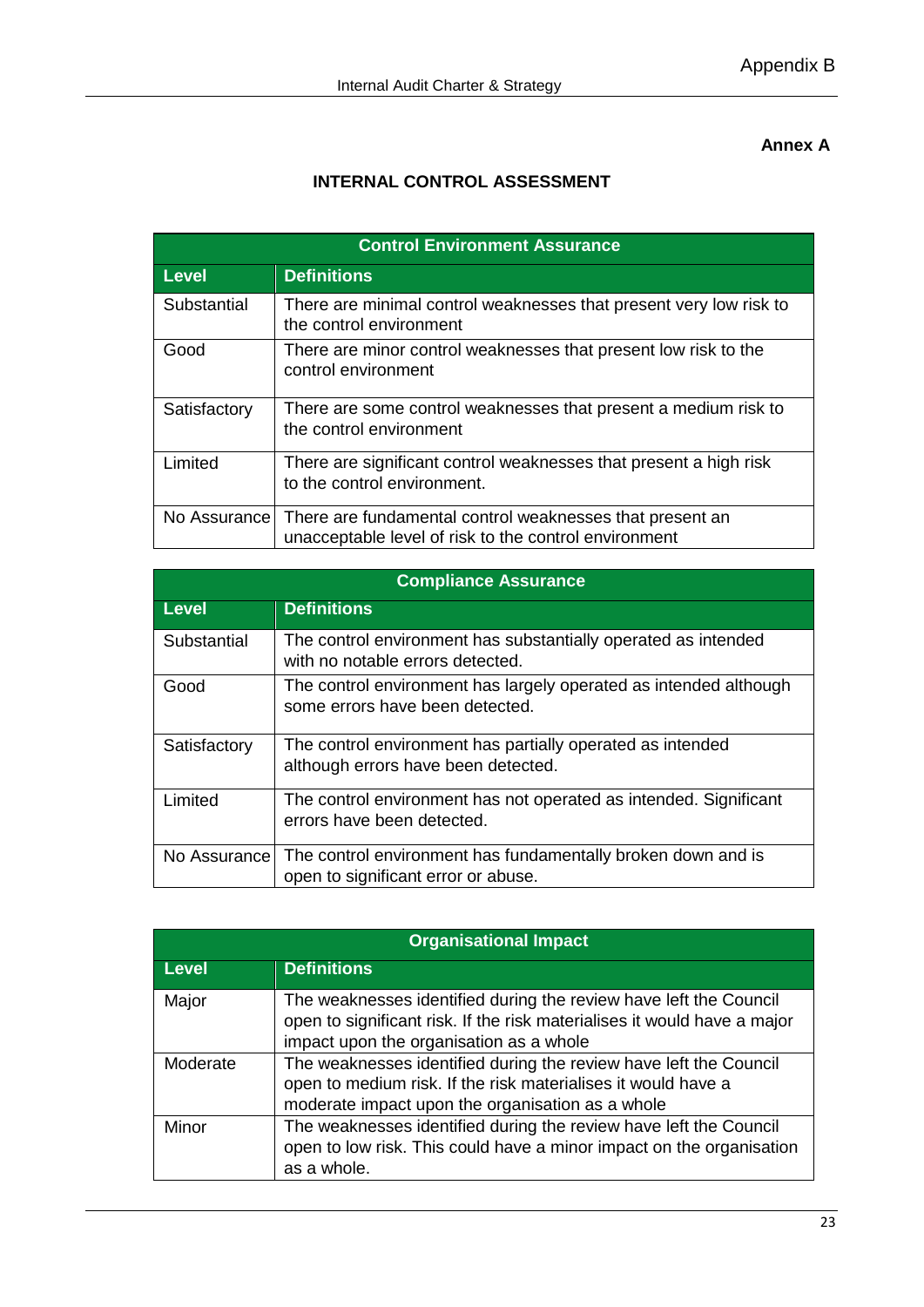## **Annex A**

# **INTERNAL CONTROL ASSESSMENT**

| <b>Control Environment Assurance</b> |                                                                                                                   |  |
|--------------------------------------|-------------------------------------------------------------------------------------------------------------------|--|
| <b>Level</b>                         | <b>Definitions</b>                                                                                                |  |
| Substantial                          | There are minimal control weaknesses that present very low risk to<br>the control environment                     |  |
| Good                                 | There are minor control weaknesses that present low risk to the<br>control environment                            |  |
| Satisfactory                         | There are some control weaknesses that present a medium risk to<br>the control environment                        |  |
| Limited                              | There are significant control weaknesses that present a high risk<br>to the control environment.                  |  |
| No Assurance I                       | There are fundamental control weaknesses that present an<br>unacceptable level of risk to the control environment |  |

| <b>Compliance Assurance</b> |                                                                                                      |  |
|-----------------------------|------------------------------------------------------------------------------------------------------|--|
| <b>Level</b>                | <b>Definitions</b>                                                                                   |  |
| Substantial                 | The control environment has substantially operated as intended<br>with no notable errors detected.   |  |
| Good                        | The control environment has largely operated as intended although<br>some errors have been detected. |  |
| Satisfactory                | The control environment has partially operated as intended<br>although errors have been detected.    |  |
| Limited                     | The control environment has not operated as intended. Significant<br>errors have been detected.      |  |
| No Assurance                | The control environment has fundamentally broken down and is<br>open to significant error or abuse.  |  |

| <b>Organisational Impact</b> |                                                                                                                                                                                          |  |
|------------------------------|------------------------------------------------------------------------------------------------------------------------------------------------------------------------------------------|--|
| <b>Level</b>                 | <b>Definitions</b>                                                                                                                                                                       |  |
| Major                        | The weaknesses identified during the review have left the Council<br>open to significant risk. If the risk materialises it would have a major<br>impact upon the organisation as a whole |  |
| Moderate                     | The weaknesses identified during the review have left the Council<br>open to medium risk. If the risk materialises it would have a<br>moderate impact upon the organisation as a whole   |  |
| Minor                        | The weaknesses identified during the review have left the Council<br>open to low risk. This could have a minor impact on the organisation<br>as a whole.                                 |  |